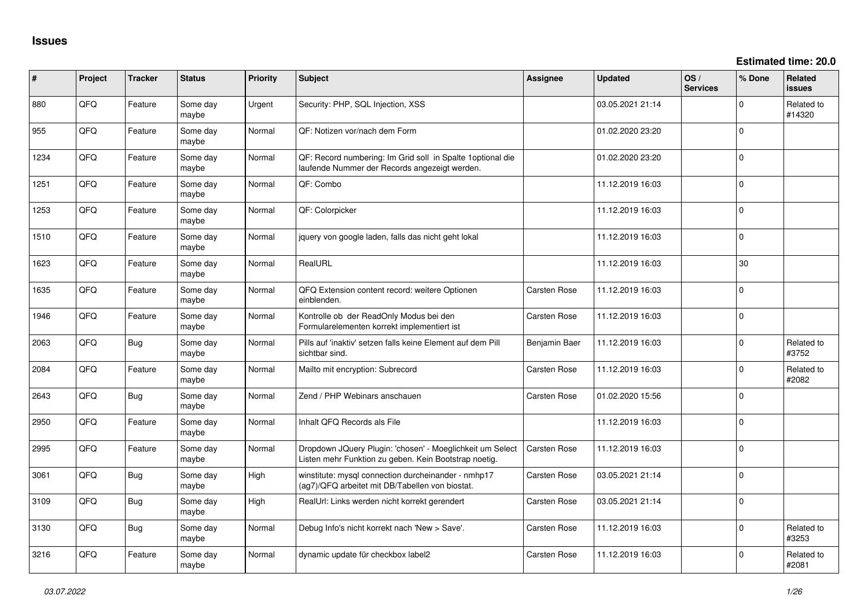**Estimated time: 20.0**

| ∦    | Project | <b>Tracker</b> | <b>Status</b>     | <b>Priority</b> | Subject                                                                                                            | Assignee            | Updated          | OS/<br><b>Services</b> | % Done      | Related<br>issues    |
|------|---------|----------------|-------------------|-----------------|--------------------------------------------------------------------------------------------------------------------|---------------------|------------------|------------------------|-------------|----------------------|
| 880  | QFQ     | Feature        | Some day<br>maybe | Urgent          | Security: PHP, SQL Injection, XSS                                                                                  |                     | 03.05.2021 21:14 |                        | $\Omega$    | Related to<br>#14320 |
| 955  | QFQ     | Feature        | Some day<br>maybe | Normal          | QF: Notizen vor/nach dem Form                                                                                      |                     | 01.02.2020 23:20 |                        | $\Omega$    |                      |
| 1234 | QFQ     | Feature        | Some day<br>maybe | Normal          | QF: Record numbering: Im Grid soll in Spalte 1optional die<br>laufende Nummer der Records angezeigt werden.        |                     | 01.02.2020 23:20 |                        | $\Omega$    |                      |
| 1251 | QFQ     | Feature        | Some day<br>maybe | Normal          | QF: Combo                                                                                                          |                     | 11.12.2019 16:03 |                        | $\Omega$    |                      |
| 1253 | QFQ     | Feature        | Some day<br>maybe | Normal          | QF: Colorpicker                                                                                                    |                     | 11.12.2019 16:03 |                        | $\Omega$    |                      |
| 1510 | QFQ     | Feature        | Some day<br>maybe | Normal          | jquery von google laden, falls das nicht geht lokal                                                                |                     | 11.12.2019 16:03 |                        | $\Omega$    |                      |
| 1623 | QFQ     | Feature        | Some day<br>maybe | Normal          | RealURL                                                                                                            |                     | 11.12.2019 16:03 |                        | 30          |                      |
| 1635 | QFQ     | Feature        | Some day<br>maybe | Normal          | QFQ Extension content record: weitere Optionen<br>einblenden.                                                      | <b>Carsten Rose</b> | 11.12.2019 16:03 |                        | $\Omega$    |                      |
| 1946 | QFQ     | Feature        | Some day<br>maybe | Normal          | Kontrolle ob der ReadOnly Modus bei den<br>Formularelementen korrekt implementiert ist                             | <b>Carsten Rose</b> | 11.12.2019 16:03 |                        | $\Omega$    |                      |
| 2063 | QFQ     | Bug            | Some day<br>maybe | Normal          | Pills auf 'inaktiv' setzen falls keine Element auf dem Pill<br>sichtbar sind.                                      | Benjamin Baer       | 11.12.2019 16:03 |                        | $\Omega$    | Related to<br>#3752  |
| 2084 | QFQ     | Feature        | Some day<br>maybe | Normal          | Mailto mit encryption: Subrecord                                                                                   | Carsten Rose        | 11.12.2019 16:03 |                        | $\Omega$    | Related to<br>#2082  |
| 2643 | QFQ     | <b>Bug</b>     | Some day<br>maybe | Normal          | Zend / PHP Webinars anschauen                                                                                      | <b>Carsten Rose</b> | 01.02.2020 15:56 |                        | $\Omega$    |                      |
| 2950 | QFQ     | Feature        | Some day<br>maybe | Normal          | Inhalt QFQ Records als File                                                                                        |                     | 11.12.2019 16:03 |                        | $\mathbf 0$ |                      |
| 2995 | QFQ     | Feature        | Some day<br>maybe | Normal          | Dropdown JQuery Plugin: 'chosen' - Moeglichkeit um Select<br>Listen mehr Funktion zu geben. Kein Bootstrap noetig. | <b>Carsten Rose</b> | 11.12.2019 16:03 |                        | $\Omega$    |                      |
| 3061 | QFQ     | Bug            | Some day<br>maybe | High            | winstitute: mysql connection durcheinander - nmhp17<br>(ag7)/QFQ arbeitet mit DB/Tabellen von biostat.             | <b>Carsten Rose</b> | 03.05.2021 21:14 |                        | $\Omega$    |                      |
| 3109 | QFQ     | <b>Bug</b>     | Some day<br>maybe | High            | RealUrl: Links werden nicht korrekt gerendert                                                                      | <b>Carsten Rose</b> | 03.05.2021 21:14 |                        | $\Omega$    |                      |
| 3130 | QFQ     | Bug            | Some day<br>maybe | Normal          | Debug Info's nicht korrekt nach 'New > Save'.                                                                      | <b>Carsten Rose</b> | 11.12.2019 16:03 |                        | $\mathbf 0$ | Related to<br>#3253  |
| 3216 | QFQ     | Feature        | Some day<br>maybe | Normal          | dynamic update für checkbox label2                                                                                 | <b>Carsten Rose</b> | 11.12.2019 16:03 |                        | $\Omega$    | Related to<br>#2081  |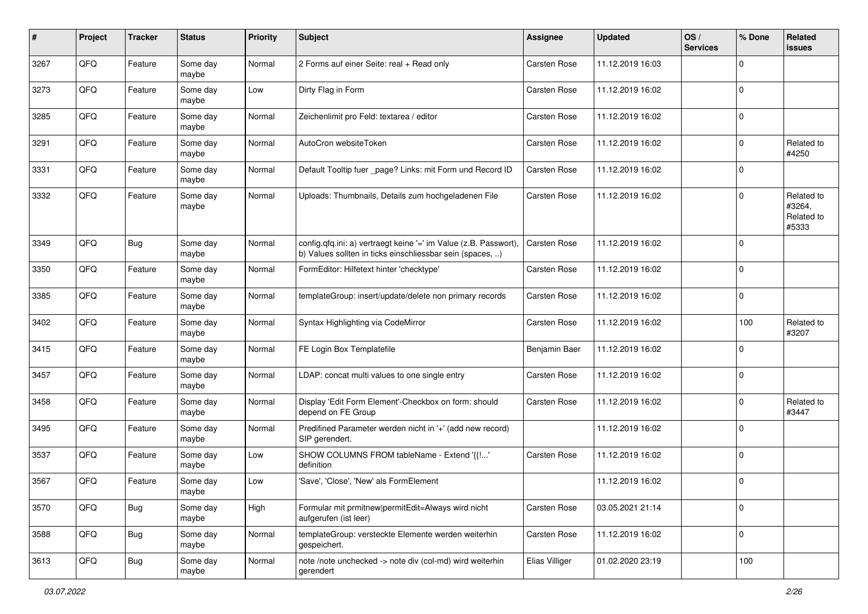| #    | Project | <b>Tracker</b> | <b>Status</b>     | <b>Priority</b> | Subject                                                                                                                       | Assignee            | <b>Updated</b>   | OS/<br><b>Services</b> | % Done      | Related<br><b>issues</b>                    |
|------|---------|----------------|-------------------|-----------------|-------------------------------------------------------------------------------------------------------------------------------|---------------------|------------------|------------------------|-------------|---------------------------------------------|
| 3267 | QFQ     | Feature        | Some day<br>maybe | Normal          | 2 Forms auf einer Seite: real + Read only                                                                                     | Carsten Rose        | 11.12.2019 16:03 |                        | $\mathbf 0$ |                                             |
| 3273 | QFQ     | Feature        | Some day<br>maybe | Low             | Dirty Flag in Form                                                                                                            | Carsten Rose        | 11.12.2019 16:02 |                        | $\mathbf 0$ |                                             |
| 3285 | QFQ     | Feature        | Some day<br>maybe | Normal          | Zeichenlimit pro Feld: textarea / editor                                                                                      | <b>Carsten Rose</b> | 11.12.2019 16:02 |                        | $\mathbf 0$ |                                             |
| 3291 | QFQ     | Feature        | Some day<br>maybe | Normal          | AutoCron websiteToken                                                                                                         | <b>Carsten Rose</b> | 11.12.2019 16:02 |                        | $\mathbf 0$ | Related to<br>#4250                         |
| 3331 | QFQ     | Feature        | Some day<br>maybe | Normal          | Default Tooltip fuer _page? Links: mit Form und Record ID                                                                     | <b>Carsten Rose</b> | 11.12.2019 16:02 |                        | $\mathbf 0$ |                                             |
| 3332 | QFQ     | Feature        | Some day<br>maybe | Normal          | Uploads: Thumbnails, Details zum hochgeladenen File                                                                           | Carsten Rose        | 11.12.2019 16:02 |                        | $\mathbf 0$ | Related to<br>#3264,<br>Related to<br>#5333 |
| 3349 | QFQ     | Bug            | Some day<br>maybe | Normal          | config.qfq.ini: a) vertraegt keine '=' im Value (z.B. Passwort),<br>b) Values sollten in ticks einschliessbar sein (spaces, ) | Carsten Rose        | 11.12.2019 16:02 |                        | $\mathbf 0$ |                                             |
| 3350 | QFQ     | Feature        | Some day<br>maybe | Normal          | FormEditor: Hilfetext hinter 'checktype'                                                                                      | <b>Carsten Rose</b> | 11.12.2019 16:02 |                        | $\mathbf 0$ |                                             |
| 3385 | QFQ     | Feature        | Some day<br>maybe | Normal          | templateGroup: insert/update/delete non primary records                                                                       | <b>Carsten Rose</b> | 11.12.2019 16:02 |                        | $\mathbf 0$ |                                             |
| 3402 | QFQ     | Feature        | Some day<br>maybe | Normal          | Syntax Highlighting via CodeMirror                                                                                            | Carsten Rose        | 11.12.2019 16:02 |                        | 100         | Related to<br>#3207                         |
| 3415 | QFQ     | Feature        | Some day<br>maybe | Normal          | FE Login Box Templatefile                                                                                                     | Benjamin Baer       | 11.12.2019 16:02 |                        | $\mathbf 0$ |                                             |
| 3457 | QFQ     | Feature        | Some day<br>maybe | Normal          | LDAP: concat multi values to one single entry                                                                                 | Carsten Rose        | 11.12.2019 16:02 |                        | $\mathbf 0$ |                                             |
| 3458 | QFQ     | Feature        | Some day<br>maybe | Normal          | Display 'Edit Form Element'-Checkbox on form: should<br>depend on FE Group                                                    | Carsten Rose        | 11.12.2019 16:02 |                        | $\mathbf 0$ | Related to<br>#3447                         |
| 3495 | QFQ     | Feature        | Some day<br>maybe | Normal          | Predifined Parameter werden nicht in '+' (add new record)<br>SIP gerendert.                                                   |                     | 11.12.2019 16:02 |                        | $\mathbf 0$ |                                             |
| 3537 | QFQ     | Feature        | Some day<br>maybe | Low             | SHOW COLUMNS FROM tableName - Extend '{{!'<br>definition                                                                      | Carsten Rose        | 11.12.2019 16:02 |                        | $\mathbf 0$ |                                             |
| 3567 | QFQ     | Feature        | Some day<br>maybe | Low             | 'Save', 'Close', 'New' als FormElement                                                                                        |                     | 11.12.2019 16:02 |                        | $\mathbf 0$ |                                             |
| 3570 | QFQ     | Bug            | Some day<br>maybe | High            | Formular mit prmitnew permitEdit=Always wird nicht<br>aufgerufen (ist leer)                                                   | Carsten Rose        | 03.05.2021 21:14 |                        | $\mathbf 0$ |                                             |
| 3588 | QFQ     | <b>Bug</b>     | Some day<br>maybe | Normal          | templateGroup: versteckte Elemente werden weiterhin<br>gespeichert.                                                           | Carsten Rose        | 11.12.2019 16:02 |                        | $\mathbf 0$ |                                             |
| 3613 | QFQ     | <b>Bug</b>     | Some day<br>maybe | Normal          | note /note unchecked -> note div (col-md) wird weiterhin<br>gerendert                                                         | Elias Villiger      | 01.02.2020 23:19 |                        | 100         |                                             |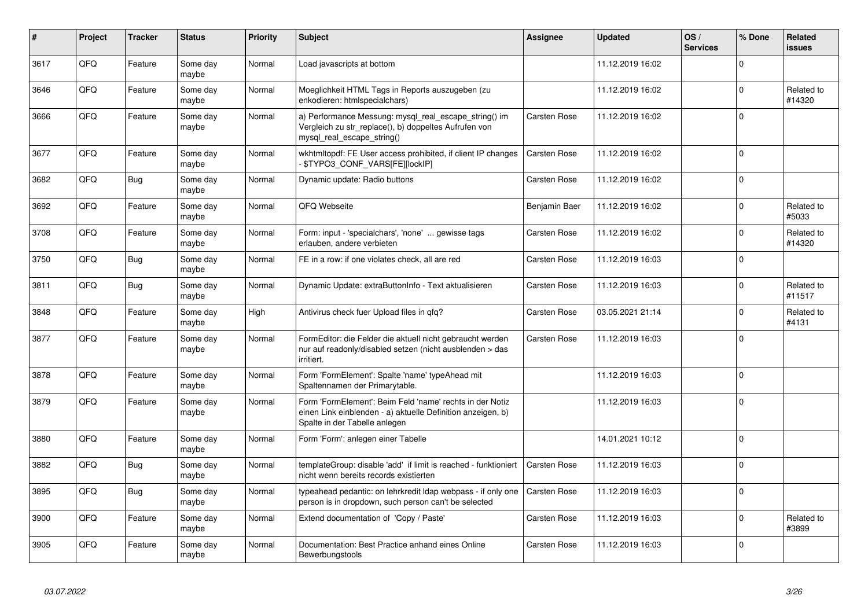| $\vert$ # | Project | <b>Tracker</b> | <b>Status</b>     | <b>Priority</b> | <b>Subject</b>                                                                                                                                           | Assignee            | <b>Updated</b>   | OS/<br><b>Services</b> | % Done      | <b>Related</b><br><b>issues</b> |
|-----------|---------|----------------|-------------------|-----------------|----------------------------------------------------------------------------------------------------------------------------------------------------------|---------------------|------------------|------------------------|-------------|---------------------------------|
| 3617      | QFQ     | Feature        | Some day<br>maybe | Normal          | Load javascripts at bottom                                                                                                                               |                     | 11.12.2019 16:02 |                        | $\mathbf 0$ |                                 |
| 3646      | QFQ     | Feature        | Some day<br>maybe | Normal          | Moeglichkeit HTML Tags in Reports auszugeben (zu<br>enkodieren: htmlspecialchars)                                                                        |                     | 11.12.2019 16:02 |                        | $\mathsf 0$ | Related to<br>#14320            |
| 3666      | QFQ     | Feature        | Some day<br>maybe | Normal          | a) Performance Messung: mysql_real_escape_string() im<br>Vergleich zu str_replace(), b) doppeltes Aufrufen von<br>mysql_real_escape_string()             | Carsten Rose        | 11.12.2019 16:02 |                        | $\mathbf 0$ |                                 |
| 3677      | QFQ     | Feature        | Some day<br>maybe | Normal          | wkhtmitopdf: FE User access prohibited, if client IP changes<br>\$TYPO3_CONF_VARS[FE][lockIP]                                                            | <b>Carsten Rose</b> | 11.12.2019 16:02 |                        | $\mathbf 0$ |                                 |
| 3682      | QFQ     | <b>Bug</b>     | Some day<br>maybe | Normal          | Dynamic update: Radio buttons                                                                                                                            | Carsten Rose        | 11.12.2019 16:02 |                        | $\Omega$    |                                 |
| 3692      | QFQ     | Feature        | Some day<br>maybe | Normal          | QFQ Webseite                                                                                                                                             | Benjamin Baer       | 11.12.2019 16:02 |                        | $\Omega$    | Related to<br>#5033             |
| 3708      | QFQ     | Feature        | Some day<br>maybe | Normal          | Form: input - 'specialchars', 'none'  gewisse tags<br>erlauben, andere verbieten                                                                         | Carsten Rose        | 11.12.2019 16:02 |                        | $\mathsf 0$ | Related to<br>#14320            |
| 3750      | QFQ     | Bug            | Some day<br>maybe | Normal          | FE in a row: if one violates check, all are red                                                                                                          | <b>Carsten Rose</b> | 11.12.2019 16:03 |                        | $\mathbf 0$ |                                 |
| 3811      | QFQ     | Bug            | Some day<br>maybe | Normal          | Dynamic Update: extraButtonInfo - Text aktualisieren                                                                                                     | Carsten Rose        | 11.12.2019 16:03 |                        | $\Omega$    | Related to<br>#11517            |
| 3848      | QFQ     | Feature        | Some day<br>maybe | High            | Antivirus check fuer Upload files in qfq?                                                                                                                | Carsten Rose        | 03.05.2021 21:14 |                        | $\mathbf 0$ | Related to<br>#4131             |
| 3877      | QFQ     | Feature        | Some day<br>maybe | Normal          | FormEditor: die Felder die aktuell nicht gebraucht werden<br>nur auf readonly/disabled setzen (nicht ausblenden > das<br>irritiert.                      | Carsten Rose        | 11.12.2019 16:03 |                        | $\mathbf 0$ |                                 |
| 3878      | QFQ     | Feature        | Some day<br>maybe | Normal          | Form 'FormElement': Spalte 'name' typeAhead mit<br>Spaltennamen der Primarytable.                                                                        |                     | 11.12.2019 16:03 |                        | $\mathbf 0$ |                                 |
| 3879      | QFQ     | Feature        | Some day<br>maybe | Normal          | Form 'FormElement': Beim Feld 'name' rechts in der Notiz<br>einen Link einblenden - a) aktuelle Definition anzeigen, b)<br>Spalte in der Tabelle anlegen |                     | 11.12.2019 16:03 |                        | $\Omega$    |                                 |
| 3880      | QFQ     | Feature        | Some day<br>maybe | Normal          | Form 'Form': anlegen einer Tabelle                                                                                                                       |                     | 14.01.2021 10:12 |                        | $\mathbf 0$ |                                 |
| 3882      | QFQ     | <b>Bug</b>     | Some day<br>maybe | Normal          | templateGroup: disable 'add' if limit is reached - funktioniert<br>nicht wenn bereits records existierten                                                | <b>Carsten Rose</b> | 11.12.2019 16:03 |                        | $\Omega$    |                                 |
| 3895      | QFQ     | <b>Bug</b>     | Some day<br>maybe | Normal          | typeahead pedantic: on lehrkredit Idap webpass - if only one<br>person is in dropdown, such person can't be selected                                     | <b>Carsten Rose</b> | 11.12.2019 16:03 |                        | $\pmb{0}$   |                                 |
| 3900      | QFQ     | Feature        | Some day<br>maybe | Normal          | Extend documentation of 'Copy / Paste'                                                                                                                   | Carsten Rose        | 11.12.2019 16:03 |                        | $\pmb{0}$   | Related to<br>#3899             |
| 3905      | QFQ     | Feature        | Some day<br>maybe | Normal          | Documentation: Best Practice anhand eines Online<br>Bewerbungstools                                                                                      | <b>Carsten Rose</b> | 11.12.2019 16:03 |                        | $\mathbf 0$ |                                 |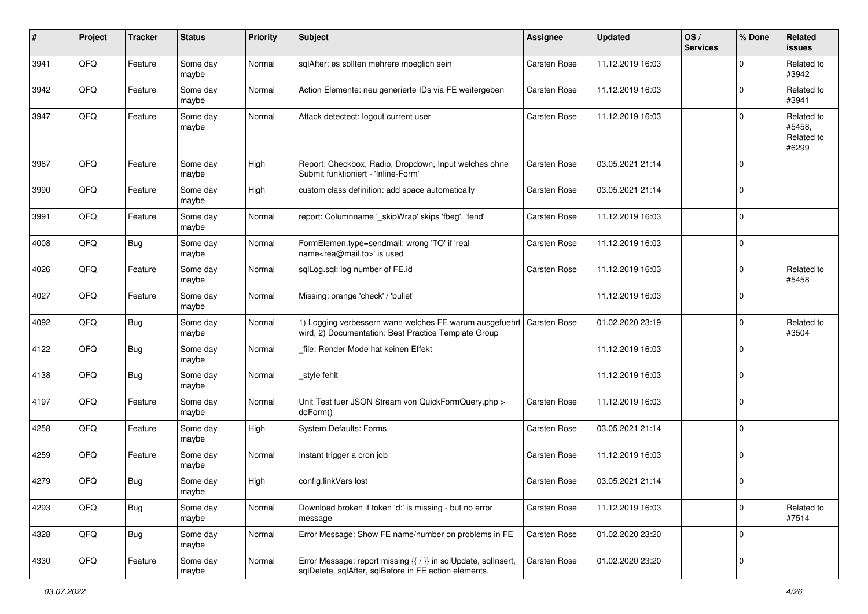| #    | Project | <b>Tracker</b> | <b>Status</b>     | <b>Priority</b> | <b>Subject</b>                                                                                                          | <b>Assignee</b>     | <b>Updated</b>   | OS/<br><b>Services</b> | % Done         | Related<br><b>issues</b>                    |
|------|---------|----------------|-------------------|-----------------|-------------------------------------------------------------------------------------------------------------------------|---------------------|------------------|------------------------|----------------|---------------------------------------------|
| 3941 | QFQ     | Feature        | Some day<br>maybe | Normal          | sqlAfter: es sollten mehrere moeglich sein                                                                              | Carsten Rose        | 11.12.2019 16:03 |                        | $\Omega$       | Related to<br>#3942                         |
| 3942 | QFQ     | Feature        | Some day<br>maybe | Normal          | Action Elemente: neu generierte IDs via FE weitergeben                                                                  | <b>Carsten Rose</b> | 11.12.2019 16:03 |                        | $\mathbf 0$    | Related to<br>#3941                         |
| 3947 | QFQ     | Feature        | Some day<br>maybe | Normal          | Attack detectect: logout current user                                                                                   | <b>Carsten Rose</b> | 11.12.2019 16:03 |                        | $\Omega$       | Related to<br>#5458,<br>Related to<br>#6299 |
| 3967 | QFQ     | Feature        | Some day<br>maybe | High            | Report: Checkbox, Radio, Dropdown, Input welches ohne<br>Submit funktioniert - 'Inline-Form'                            | <b>Carsten Rose</b> | 03.05.2021 21:14 |                        | $\Omega$       |                                             |
| 3990 | QFQ     | Feature        | Some day<br>maybe | High            | custom class definition: add space automatically                                                                        | Carsten Rose        | 03.05.2021 21:14 |                        | $\Omega$       |                                             |
| 3991 | QFQ     | Feature        | Some day<br>maybe | Normal          | report: Columnname '_skipWrap' skips 'fbeg', 'fend'                                                                     | <b>Carsten Rose</b> | 11.12.2019 16:03 |                        | $\Omega$       |                                             |
| 4008 | QFQ     | <b>Bug</b>     | Some day<br>maybe | Normal          | FormElemen.type=sendmail: wrong 'TO' if 'real<br>name <rea@mail.to>' is used</rea@mail.to>                              | <b>Carsten Rose</b> | 11.12.2019 16:03 |                        | $\mathbf 0$    |                                             |
| 4026 | QFQ     | Feature        | Some day<br>maybe | Normal          | sglLog.sgl: log number of FE.id                                                                                         | Carsten Rose        | 11.12.2019 16:03 |                        | $\mathbf 0$    | Related to<br>#5458                         |
| 4027 | QFQ     | Feature        | Some day<br>maybe | Normal          | Missing: orange 'check' / 'bullet'                                                                                      |                     | 11.12.2019 16:03 |                        | $\Omega$       |                                             |
| 4092 | QFQ     | <b>Bug</b>     | Some day<br>maybe | Normal          | 1) Logging verbessern wann welches FE warum ausgefuehrt<br>wird, 2) Documentation: Best Practice Template Group         | Carsten Rose        | 01.02.2020 23:19 |                        | $\Omega$       | Related to<br>#3504                         |
| 4122 | QFQ     | Bug            | Some day<br>maybe | Normal          | file: Render Mode hat keinen Effekt                                                                                     |                     | 11.12.2019 16:03 |                        | $\overline{0}$ |                                             |
| 4138 | QFQ     | <b>Bug</b>     | Some day<br>maybe | Normal          | _style fehlt                                                                                                            |                     | 11.12.2019 16:03 |                        | $\Omega$       |                                             |
| 4197 | QFQ     | Feature        | Some day<br>maybe | Normal          | Unit Test fuer JSON Stream von QuickFormQuery.php ><br>doForm()                                                         | <b>Carsten Rose</b> | 11.12.2019 16:03 |                        | $\Omega$       |                                             |
| 4258 | QFQ     | Feature        | Some day<br>maybe | High            | System Defaults: Forms                                                                                                  | <b>Carsten Rose</b> | 03.05.2021 21:14 |                        | $\Omega$       |                                             |
| 4259 | QFQ     | Feature        | Some day<br>maybe | Normal          | Instant trigger a cron job                                                                                              | <b>Carsten Rose</b> | 11.12.2019 16:03 |                        | $\mathbf 0$    |                                             |
| 4279 | QFQ     | Bug            | Some day<br>maybe | High            | config.linkVars lost                                                                                                    | <b>Carsten Rose</b> | 03.05.2021 21:14 |                        | $\mathbf 0$    |                                             |
| 4293 | QFQ     | <b>Bug</b>     | Some day<br>maybe | Normal          | Download broken if token 'd:' is missing - but no error<br>message                                                      | Carsten Rose        | 11.12.2019 16:03 |                        | 0              | Related to<br>#7514                         |
| 4328 | QFQ     | Bug            | Some day<br>maybe | Normal          | Error Message: Show FE name/number on problems in FE                                                                    | <b>Carsten Rose</b> | 01.02.2020 23:20 |                        | 0              |                                             |
| 4330 | QFQ     | Feature        | Some day<br>maybe | Normal          | Error Message: report missing {{ / }} in sqlUpdate, sqlInsert,<br>sqlDelete, sqlAfter, sqlBefore in FE action elements. | Carsten Rose        | 01.02.2020 23:20 |                        | l 0            |                                             |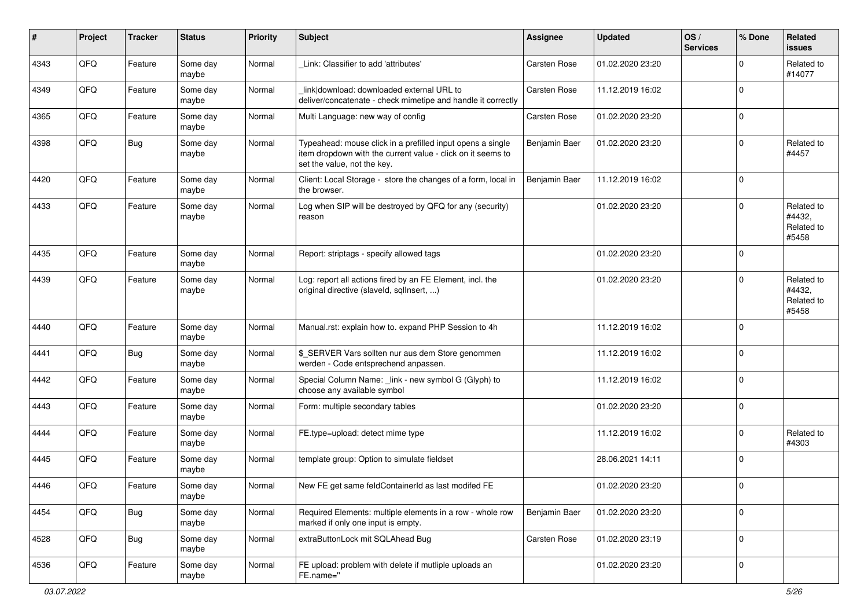| #    | Project | <b>Tracker</b> | <b>Status</b>     | <b>Priority</b> | <b>Subject</b>                                                                                                                                           | Assignee      | <b>Updated</b>   | OS/<br><b>Services</b> | % Done      | Related<br>issues                           |
|------|---------|----------------|-------------------|-----------------|----------------------------------------------------------------------------------------------------------------------------------------------------------|---------------|------------------|------------------------|-------------|---------------------------------------------|
| 4343 | QFQ     | Feature        | Some day<br>maybe | Normal          | Link: Classifier to add 'attributes'                                                                                                                     | Carsten Rose  | 01.02.2020 23:20 |                        | $\Omega$    | Related to<br>#14077                        |
| 4349 | QFQ     | Feature        | Some day<br>maybe | Normal          | link download: downloaded external URL to<br>deliver/concatenate - check mimetipe and handle it correctly                                                | Carsten Rose  | 11.12.2019 16:02 |                        | $\mathbf 0$ |                                             |
| 4365 | QFQ     | Feature        | Some day<br>maybe | Normal          | Multi Language: new way of config                                                                                                                        | Carsten Rose  | 01.02.2020 23:20 |                        | $\Omega$    |                                             |
| 4398 | QFQ     | <b>Bug</b>     | Some day<br>maybe | Normal          | Typeahead: mouse click in a prefilled input opens a single<br>item dropdown with the current value - click on it seems to<br>set the value, not the key. | Benjamin Baer | 01.02.2020 23:20 |                        | 0           | Related to<br>#4457                         |
| 4420 | QFQ     | Feature        | Some day<br>maybe | Normal          | Client: Local Storage - store the changes of a form, local in<br>the browser.                                                                            | Benjamin Baer | 11.12.2019 16:02 |                        | $\mathbf 0$ |                                             |
| 4433 | QFQ     | Feature        | Some day<br>maybe | Normal          | Log when SIP will be destroyed by QFQ for any (security)<br>reason                                                                                       |               | 01.02.2020 23:20 |                        | $\mathbf 0$ | Related to<br>#4432,<br>Related to<br>#5458 |
| 4435 | QFQ     | Feature        | Some day<br>maybe | Normal          | Report: striptags - specify allowed tags                                                                                                                 |               | 01.02.2020 23:20 |                        | 0           |                                             |
| 4439 | QFQ     | Feature        | Some day<br>maybe | Normal          | Log: report all actions fired by an FE Element, incl. the<br>original directive (slaveld, sqllnsert, )                                                   |               | 01.02.2020 23:20 |                        | $\Omega$    | Related to<br>#4432,<br>Related to<br>#5458 |
| 4440 | QFQ     | Feature        | Some day<br>maybe | Normal          | Manual.rst: explain how to. expand PHP Session to 4h                                                                                                     |               | 11.12.2019 16:02 |                        | 0           |                                             |
| 4441 | QFQ     | Bug            | Some day<br>maybe | Normal          | \$_SERVER Vars sollten nur aus dem Store genommen<br>werden - Code entsprechend anpassen.                                                                |               | 11.12.2019 16:02 |                        | 0           |                                             |
| 4442 | QFQ     | Feature        | Some day<br>maybe | Normal          | Special Column Name: _link - new symbol G (Glyph) to<br>choose any available symbol                                                                      |               | 11.12.2019 16:02 |                        | $\mathbf 0$ |                                             |
| 4443 | QFQ     | Feature        | Some day<br>maybe | Normal          | Form: multiple secondary tables                                                                                                                          |               | 01.02.2020 23:20 |                        | $\Omega$    |                                             |
| 4444 | QFQ     | Feature        | Some day<br>maybe | Normal          | FE.type=upload: detect mime type                                                                                                                         |               | 11.12.2019 16:02 |                        | 0           | Related to<br>#4303                         |
| 4445 | QFQ     | Feature        | Some day<br>maybe | Normal          | template group: Option to simulate fieldset                                                                                                              |               | 28.06.2021 14:11 |                        | 0           |                                             |
| 4446 | QFQ     | Feature        | Some day<br>maybe | Normal          | New FE get same feldContainerId as last modifed FE                                                                                                       |               | 01.02.2020 23:20 |                        | 0           |                                             |
| 4454 | QFO     | Bug            | Some day<br>maybe | Normal          | Required Elements: multiple elements in a row - whole row<br>marked if only one input is empty.                                                          | Benjamin Baer | 01.02.2020 23:20 |                        | $\mathbf 0$ |                                             |
| 4528 | QFG     | <b>Bug</b>     | Some day<br>maybe | Normal          | extraButtonLock mit SQLAhead Bug                                                                                                                         | Carsten Rose  | 01.02.2020 23:19 |                        | $\mathbf 0$ |                                             |
| 4536 | QFO     | Feature        | Some day<br>maybe | Normal          | FE upload: problem with delete if mutliple uploads an<br>FE.name="                                                                                       |               | 01.02.2020 23:20 |                        | $\mathbf 0$ |                                             |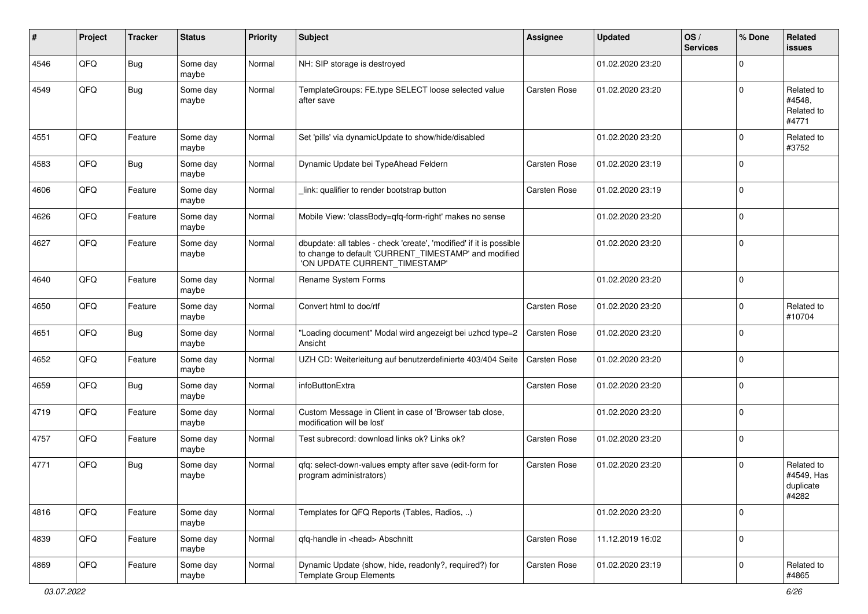| #    | Project | <b>Tracker</b> | <b>Status</b>     | Priority | <b>Subject</b>                                                                                                                                                | Assignee            | <b>Updated</b>   | OS/<br><b>Services</b> | % Done      | Related<br><b>issues</b>                       |
|------|---------|----------------|-------------------|----------|---------------------------------------------------------------------------------------------------------------------------------------------------------------|---------------------|------------------|------------------------|-------------|------------------------------------------------|
| 4546 | QFQ     | <b>Bug</b>     | Some day<br>maybe | Normal   | NH: SIP storage is destroyed                                                                                                                                  |                     | 01.02.2020 23:20 |                        | $\Omega$    |                                                |
| 4549 | QFQ     | Bug            | Some day<br>maybe | Normal   | TemplateGroups: FE.type SELECT loose selected value<br>after save                                                                                             | Carsten Rose        | 01.02.2020 23:20 |                        | $\Omega$    | Related to<br>#4548.<br>Related to<br>#4771    |
| 4551 | QFQ     | Feature        | Some day<br>maybe | Normal   | Set 'pills' via dynamicUpdate to show/hide/disabled                                                                                                           |                     | 01.02.2020 23:20 |                        | 0           | Related to<br>#3752                            |
| 4583 | QFQ     | Bug            | Some day<br>maybe | Normal   | Dynamic Update bei TypeAhead Feldern                                                                                                                          | <b>Carsten Rose</b> | 01.02.2020 23:19 |                        | $\mathbf 0$ |                                                |
| 4606 | QFQ     | Feature        | Some day<br>maybe | Normal   | link: qualifier to render bootstrap button                                                                                                                    | Carsten Rose        | 01.02.2020 23:19 |                        | 0           |                                                |
| 4626 | QFQ     | Feature        | Some day<br>maybe | Normal   | Mobile View: 'classBody=qfq-form-right' makes no sense                                                                                                        |                     | 01.02.2020 23:20 |                        | $\mathbf 0$ |                                                |
| 4627 | QFQ     | Feature        | Some day<br>maybe | Normal   | dbupdate: all tables - check 'create', 'modified' if it is possible<br>to change to default 'CURRENT_TIMESTAMP' and modified<br>'ON UPDATE CURRENT TIMESTAMP' |                     | 01.02.2020 23:20 |                        | $\mathbf 0$ |                                                |
| 4640 | QFQ     | Feature        | Some day<br>maybe | Normal   | Rename System Forms                                                                                                                                           |                     | 01.02.2020 23:20 |                        | $\mathbf 0$ |                                                |
| 4650 | QFQ     | Feature        | Some day<br>maybe | Normal   | Convert html to doc/rtf                                                                                                                                       | <b>Carsten Rose</b> | 01.02.2020 23:20 |                        | $\Omega$    | Related to<br>#10704                           |
| 4651 | QFQ     | Bug            | Some day<br>maybe | Normal   | "Loading document" Modal wird angezeigt bei uzhcd type=2<br>Ansicht                                                                                           | Carsten Rose        | 01.02.2020 23:20 |                        | $\Omega$    |                                                |
| 4652 | QFQ     | Feature        | Some day<br>maybe | Normal   | UZH CD: Weiterleitung auf benutzerdefinierte 403/404 Seite                                                                                                    | Carsten Rose        | 01.02.2020 23:20 |                        | $\mathbf 0$ |                                                |
| 4659 | QFQ     | Bug            | Some day<br>maybe | Normal   | infoButtonExtra                                                                                                                                               | Carsten Rose        | 01.02.2020 23:20 |                        | $\mathbf 0$ |                                                |
| 4719 | QFQ     | Feature        | Some day<br>maybe | Normal   | Custom Message in Client in case of 'Browser tab close,<br>modification will be lost'                                                                         |                     | 01.02.2020 23:20 |                        | $\mathbf 0$ |                                                |
| 4757 | QFQ     | Feature        | Some day<br>maybe | Normal   | Test subrecord: download links ok? Links ok?                                                                                                                  | Carsten Rose        | 01.02.2020 23:20 |                        | 0           |                                                |
| 4771 | QFQ     | Bug            | Some day<br>maybe | Normal   | qfq: select-down-values empty after save (edit-form for<br>program administrators)                                                                            | <b>Carsten Rose</b> | 01.02.2020 23:20 |                        | $\Omega$    | Related to<br>#4549, Has<br>duplicate<br>#4282 |
| 4816 | QFQ     | Feature        | Some day<br>maybe | Normal   | Templates for QFQ Reports (Tables, Radios, )                                                                                                                  |                     | 01.02.2020 23:20 |                        | $\mathbf 0$ |                                                |
| 4839 | QFQ     | Feature        | Some day<br>maybe | Normal   | qfq-handle in <head> Abschnitt</head>                                                                                                                         | Carsten Rose        | 11.12.2019 16:02 |                        | $\mathbf 0$ |                                                |
| 4869 | QFQ     | Feature        | Some day<br>maybe | Normal   | Dynamic Update (show, hide, readonly?, required?) for<br><b>Template Group Elements</b>                                                                       | Carsten Rose        | 01.02.2020 23:19 |                        | $\mathbf 0$ | Related to<br>#4865                            |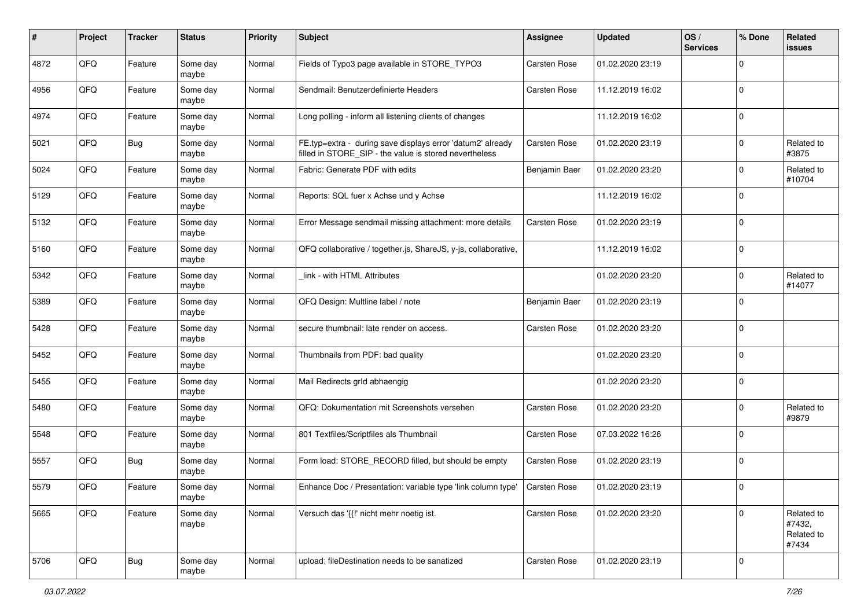| #    | Project | <b>Tracker</b> | <b>Status</b>     | <b>Priority</b> | Subject                                                                                                              | Assignee            | <b>Updated</b>   | OS/<br><b>Services</b> | % Done      | Related<br><b>issues</b>                    |
|------|---------|----------------|-------------------|-----------------|----------------------------------------------------------------------------------------------------------------------|---------------------|------------------|------------------------|-------------|---------------------------------------------|
| 4872 | QFQ     | Feature        | Some day<br>maybe | Normal          | Fields of Typo3 page available in STORE_TYPO3                                                                        | Carsten Rose        | 01.02.2020 23:19 |                        | $\mathbf 0$ |                                             |
| 4956 | QFQ     | Feature        | Some day<br>maybe | Normal          | Sendmail: Benutzerdefinierte Headers                                                                                 | Carsten Rose        | 11.12.2019 16:02 |                        | $\mathbf 0$ |                                             |
| 4974 | QFQ     | Feature        | Some day<br>maybe | Normal          | Long polling - inform all listening clients of changes                                                               |                     | 11.12.2019 16:02 |                        | $\mathbf 0$ |                                             |
| 5021 | QFQ     | Bug            | Some day<br>maybe | Normal          | FE.typ=extra - during save displays error 'datum2' already<br>filled in STORE SIP - the value is stored nevertheless | <b>Carsten Rose</b> | 01.02.2020 23:19 |                        | $\mathbf 0$ | Related to<br>#3875                         |
| 5024 | QFQ     | Feature        | Some day<br>maybe | Normal          | Fabric: Generate PDF with edits                                                                                      | Benjamin Baer       | 01.02.2020 23:20 |                        | $\mathbf 0$ | Related to<br>#10704                        |
| 5129 | QFQ     | Feature        | Some day<br>maybe | Normal          | Reports: SQL fuer x Achse und y Achse                                                                                |                     | 11.12.2019 16:02 |                        | $\mathbf 0$ |                                             |
| 5132 | QFQ     | Feature        | Some day<br>maybe | Normal          | Error Message sendmail missing attachment: more details                                                              | <b>Carsten Rose</b> | 01.02.2020 23:19 |                        | $\mathbf 0$ |                                             |
| 5160 | QFQ     | Feature        | Some day<br>maybe | Normal          | QFQ collaborative / together.js, ShareJS, y-js, collaborative,                                                       |                     | 11.12.2019 16:02 |                        | $\pmb{0}$   |                                             |
| 5342 | QFQ     | Feature        | Some day<br>maybe | Normal          | link - with HTML Attributes                                                                                          |                     | 01.02.2020 23:20 |                        | $\mathbf 0$ | Related to<br>#14077                        |
| 5389 | QFQ     | Feature        | Some day<br>maybe | Normal          | QFQ Design: Multline label / note                                                                                    | Benjamin Baer       | 01.02.2020 23:19 |                        | $\mathbf 0$ |                                             |
| 5428 | QFQ     | Feature        | Some day<br>maybe | Normal          | secure thumbnail: late render on access.                                                                             | Carsten Rose        | 01.02.2020 23:20 |                        | $\mathbf 0$ |                                             |
| 5452 | QFQ     | Feature        | Some day<br>maybe | Normal          | Thumbnails from PDF: bad quality                                                                                     |                     | 01.02.2020 23:20 |                        | $\mathbf 0$ |                                             |
| 5455 | QFQ     | Feature        | Some day<br>maybe | Normal          | Mail Redirects grld abhaengig                                                                                        |                     | 01.02.2020 23:20 |                        | $\mathbf 0$ |                                             |
| 5480 | QFQ     | Feature        | Some day<br>maybe | Normal          | QFQ: Dokumentation mit Screenshots versehen                                                                          | Carsten Rose        | 01.02.2020 23:20 |                        | $\mathbf 0$ | Related to<br>#9879                         |
| 5548 | QFQ     | Feature        | Some day<br>maybe | Normal          | 801 Textfiles/Scriptfiles als Thumbnail                                                                              | Carsten Rose        | 07.03.2022 16:26 |                        | $\mathbf 0$ |                                             |
| 5557 | QFQ     | <b>Bug</b>     | Some day<br>maybe | Normal          | Form load: STORE RECORD filled, but should be empty                                                                  | Carsten Rose        | 01.02.2020 23:19 |                        | $\mathbf 0$ |                                             |
| 5579 | QFQ     | Feature        | Some day<br>maybe | Normal          | Enhance Doc / Presentation: variable type 'link column type'                                                         | <b>Carsten Rose</b> | 01.02.2020 23:19 |                        | $\mathbf 0$ |                                             |
| 5665 | QFQ     | Feature        | Some day<br>maybe | Normal          | Versuch das '{{!' nicht mehr noetig ist.                                                                             | Carsten Rose        | 01.02.2020 23:20 |                        | $\mathbf 0$ | Related to<br>#7432,<br>Related to<br>#7434 |
| 5706 | QFQ     | <b>Bug</b>     | Some day<br>maybe | Normal          | upload: fileDestination needs to be sanatized                                                                        | Carsten Rose        | 01.02.2020 23:19 |                        | $\mathbf 0$ |                                             |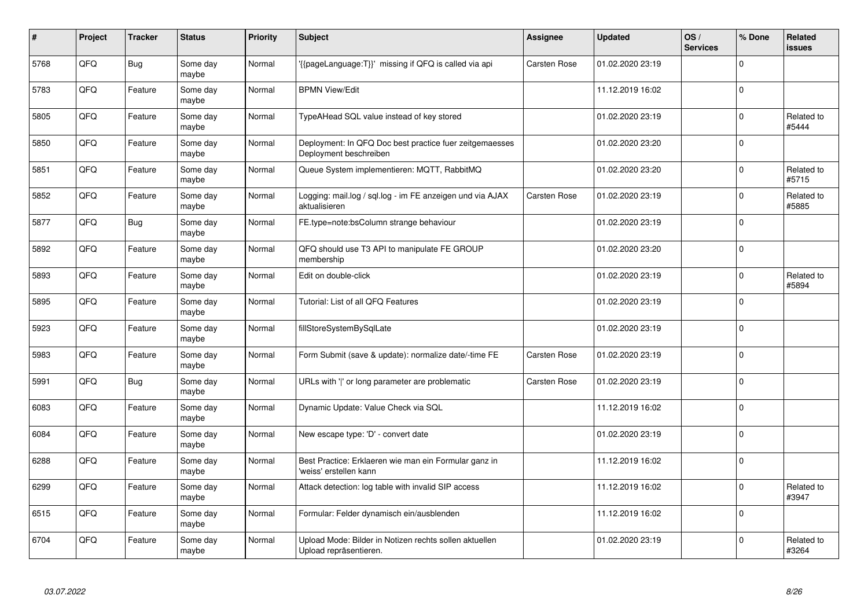| #    | Project | <b>Tracker</b> | <b>Status</b>     | <b>Priority</b> | <b>Subject</b>                                                                    | Assignee            | <b>Updated</b>   | OS/<br><b>Services</b> | % Done      | Related<br><b>issues</b> |
|------|---------|----------------|-------------------|-----------------|-----------------------------------------------------------------------------------|---------------------|------------------|------------------------|-------------|--------------------------|
| 5768 | QFQ     | <b>Bug</b>     | Some day<br>maybe | Normal          | {{pageLanguage:T}}' missing if QFQ is called via api                              | <b>Carsten Rose</b> | 01.02.2020 23:19 |                        | $\Omega$    |                          |
| 5783 | QFQ     | Feature        | Some day<br>maybe | Normal          | <b>BPMN View/Edit</b>                                                             |                     | 11.12.2019 16:02 |                        | $\Omega$    |                          |
| 5805 | QFQ     | Feature        | Some day<br>maybe | Normal          | TypeAHead SQL value instead of key stored                                         |                     | 01.02.2020 23:19 |                        | $\Omega$    | Related to<br>#5444      |
| 5850 | QFQ     | Feature        | Some day<br>maybe | Normal          | Deployment: In QFQ Doc best practice fuer zeitgemaesses<br>Deployment beschreiben |                     | 01.02.2020 23:20 |                        | $\Omega$    |                          |
| 5851 | QFQ     | Feature        | Some day<br>maybe | Normal          | Queue System implementieren: MQTT, RabbitMQ                                       |                     | 01.02.2020 23:20 |                        | $\Omega$    | Related to<br>#5715      |
| 5852 | QFQ     | Feature        | Some day<br>maybe | Normal          | Logging: mail.log / sql.log - im FE anzeigen und via AJAX<br>aktualisieren        | <b>Carsten Rose</b> | 01.02.2020 23:19 |                        | $\mathbf 0$ | Related to<br>#5885      |
| 5877 | QFQ     | <b>Bug</b>     | Some day<br>maybe | Normal          | FE.type=note:bsColumn strange behaviour                                           |                     | 01.02.2020 23:19 |                        | $\Omega$    |                          |
| 5892 | QFQ     | Feature        | Some day<br>maybe | Normal          | QFQ should use T3 API to manipulate FE GROUP<br>membership                        |                     | 01.02.2020 23:20 |                        | $\Omega$    |                          |
| 5893 | QFQ     | Feature        | Some day<br>maybe | Normal          | Edit on double-click                                                              |                     | 01.02.2020 23:19 |                        | $\Omega$    | Related to<br>#5894      |
| 5895 | QFQ     | Feature        | Some day<br>maybe | Normal          | Tutorial: List of all QFQ Features                                                |                     | 01.02.2020 23:19 |                        | $\mathbf 0$ |                          |
| 5923 | QFQ     | Feature        | Some day<br>maybe | Normal          | fillStoreSystemBySqlLate                                                          |                     | 01.02.2020 23:19 |                        | $\Omega$    |                          |
| 5983 | QFQ     | Feature        | Some day<br>maybe | Normal          | Form Submit (save & update): normalize date/-time FE                              | <b>Carsten Rose</b> | 01.02.2020 23:19 |                        | $\Omega$    |                          |
| 5991 | QFQ     | <b>Bug</b>     | Some day<br>maybe | Normal          | URLs with 'I' or long parameter are problematic                                   | <b>Carsten Rose</b> | 01.02.2020 23:19 |                        | $\mathbf 0$ |                          |
| 6083 | QFQ     | Feature        | Some day<br>maybe | Normal          | Dynamic Update: Value Check via SQL                                               |                     | 11.12.2019 16:02 |                        | $\Omega$    |                          |
| 6084 | QFQ     | Feature        | Some dav<br>maybe | Normal          | New escape type: 'D' - convert date                                               |                     | 01.02.2020 23:19 |                        | $\Omega$    |                          |
| 6288 | QFQ     | Feature        | Some day<br>maybe | Normal          | Best Practice: Erklaeren wie man ein Formular ganz in<br>'weiss' erstellen kann   |                     | 11.12.2019 16:02 |                        | $\Omega$    |                          |
| 6299 | QFQ     | Feature        | Some day<br>maybe | Normal          | Attack detection: log table with invalid SIP access                               |                     | 11.12.2019 16:02 |                        | $\mathbf 0$ | Related to<br>#3947      |
| 6515 | QFQ     | Feature        | Some day<br>maybe | Normal          | Formular: Felder dynamisch ein/ausblenden                                         |                     | 11.12.2019 16:02 |                        | $\Omega$    |                          |
| 6704 | QFQ     | Feature        | Some day<br>maybe | Normal          | Upload Mode: Bilder in Notizen rechts sollen aktuellen<br>Upload repräsentieren.  |                     | 01.02.2020 23:19 |                        | $\Omega$    | Related to<br>#3264      |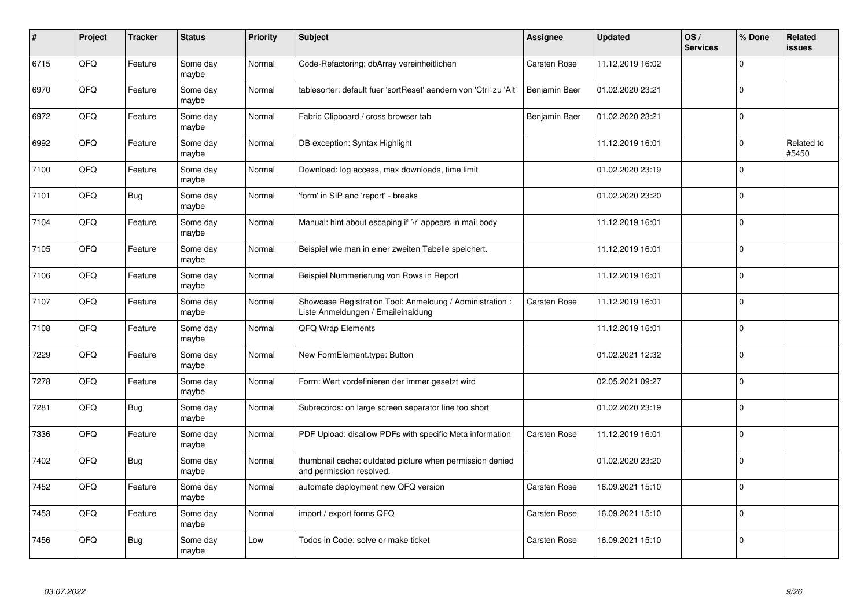| #    | Project | <b>Tracker</b> | <b>Status</b>     | <b>Priority</b> | <b>Subject</b>                                                                                 | Assignee            | <b>Updated</b>   | OS/<br><b>Services</b> | % Done      | <b>Related</b><br><b>issues</b> |
|------|---------|----------------|-------------------|-----------------|------------------------------------------------------------------------------------------------|---------------------|------------------|------------------------|-------------|---------------------------------|
| 6715 | QFQ     | Feature        | Some day<br>maybe | Normal          | Code-Refactoring: dbArray vereinheitlichen                                                     | Carsten Rose        | 11.12.2019 16:02 |                        | $\Omega$    |                                 |
| 6970 | QFQ     | Feature        | Some day<br>maybe | Normal          | tablesorter: default fuer 'sortReset' aendern von 'Ctrl' zu 'Alt'                              | Benjamin Baer       | 01.02.2020 23:21 |                        | $\mathbf 0$ |                                 |
| 6972 | QFQ     | Feature        | Some day<br>maybe | Normal          | Fabric Clipboard / cross browser tab                                                           | Benjamin Baer       | 01.02.2020 23:21 |                        | $\pmb{0}$   |                                 |
| 6992 | QFQ     | Feature        | Some day<br>maybe | Normal          | DB exception: Syntax Highlight                                                                 |                     | 11.12.2019 16:01 |                        | $\Omega$    | Related to<br>#5450             |
| 7100 | QFQ     | Feature        | Some day<br>maybe | Normal          | Download: log access, max downloads, time limit                                                |                     | 01.02.2020 23:19 |                        | $\mathbf 0$ |                                 |
| 7101 | QFQ     | Bug            | Some day<br>maybe | Normal          | form' in SIP and 'report' - breaks                                                             |                     | 01.02.2020 23:20 |                        | $\mathbf 0$ |                                 |
| 7104 | QFQ     | Feature        | Some day<br>maybe | Normal          | Manual: hint about escaping if '\r' appears in mail body                                       |                     | 11.12.2019 16:01 |                        | $\pmb{0}$   |                                 |
| 7105 | QFQ     | Feature        | Some day<br>maybe | Normal          | Beispiel wie man in einer zweiten Tabelle speichert.                                           |                     | 11.12.2019 16:01 |                        | $\Omega$    |                                 |
| 7106 | QFQ     | Feature        | Some day<br>maybe | Normal          | Beispiel Nummerierung von Rows in Report                                                       |                     | 11.12.2019 16:01 |                        | $\mathbf 0$ |                                 |
| 7107 | QFQ     | Feature        | Some day<br>maybe | Normal          | Showcase Registration Tool: Anmeldung / Administration :<br>Liste Anmeldungen / Emaileinaldung | <b>Carsten Rose</b> | 11.12.2019 16:01 |                        | $\mathbf 0$ |                                 |
| 7108 | QFQ     | Feature        | Some day<br>maybe | Normal          | QFQ Wrap Elements                                                                              |                     | 11.12.2019 16:01 |                        | $\mathbf 0$ |                                 |
| 7229 | QFQ     | Feature        | Some day<br>maybe | Normal          | New FormElement.type: Button                                                                   |                     | 01.02.2021 12:32 |                        | $\mathbf 0$ |                                 |
| 7278 | QFQ     | Feature        | Some day<br>maybe | Normal          | Form: Wert vordefinieren der immer gesetzt wird                                                |                     | 02.05.2021 09:27 |                        | $\mathbf 0$ |                                 |
| 7281 | QFQ     | <b>Bug</b>     | Some day<br>maybe | Normal          | Subrecords: on large screen separator line too short                                           |                     | 01.02.2020 23:19 |                        | $\pmb{0}$   |                                 |
| 7336 | QFQ     | Feature        | Some day<br>maybe | Normal          | PDF Upload: disallow PDFs with specific Meta information                                       | Carsten Rose        | 11.12.2019 16:01 |                        | $\mathbf 0$ |                                 |
| 7402 | QFQ     | <b>Bug</b>     | Some day<br>maybe | Normal          | thumbnail cache: outdated picture when permission denied<br>and permission resolved.           |                     | 01.02.2020 23:20 |                        | $\mathbf 0$ |                                 |
| 7452 | QFQ     | Feature        | Some day<br>maybe | Normal          | automate deployment new QFQ version                                                            | <b>Carsten Rose</b> | 16.09.2021 15:10 |                        | $\mathbf 0$ |                                 |
| 7453 | QFQ     | Feature        | Some day<br>maybe | Normal          | import / export forms QFQ                                                                      | Carsten Rose        | 16.09.2021 15:10 |                        | $\pmb{0}$   |                                 |
| 7456 | QFQ     | <b>Bug</b>     | Some day<br>maybe | Low             | Todos in Code: solve or make ticket                                                            | <b>Carsten Rose</b> | 16.09.2021 15:10 |                        | $\Omega$    |                                 |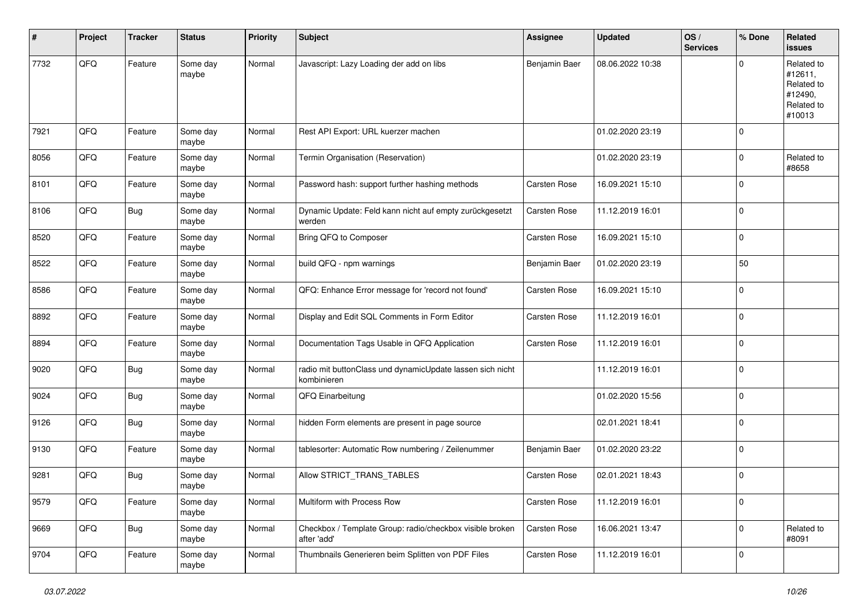| #    | Project | <b>Tracker</b> | <b>Status</b>     | <b>Priority</b> | Subject                                                                  | <b>Assignee</b>     | <b>Updated</b>   | OS/<br><b>Services</b> | % Done      | Related<br>issues                                                      |
|------|---------|----------------|-------------------|-----------------|--------------------------------------------------------------------------|---------------------|------------------|------------------------|-------------|------------------------------------------------------------------------|
| 7732 | QFQ     | Feature        | Some day<br>maybe | Normal          | Javascript: Lazy Loading der add on libs                                 | Benjamin Baer       | 08.06.2022 10:38 |                        | $\Omega$    | Related to<br>#12611,<br>Related to<br>#12490,<br>Related to<br>#10013 |
| 7921 | QFQ     | Feature        | Some day<br>maybe | Normal          | Rest API Export: URL kuerzer machen                                      |                     | 01.02.2020 23:19 |                        | 0           |                                                                        |
| 8056 | QFQ     | Feature        | Some day<br>maybe | Normal          | Termin Organisation (Reservation)                                        |                     | 01.02.2020 23:19 |                        | $\mathbf 0$ | Related to<br>#8658                                                    |
| 8101 | QFQ     | Feature        | Some day<br>maybe | Normal          | Password hash: support further hashing methods                           | Carsten Rose        | 16.09.2021 15:10 |                        | $\mathbf 0$ |                                                                        |
| 8106 | QFQ     | <b>Bug</b>     | Some day<br>maybe | Normal          | Dynamic Update: Feld kann nicht auf empty zurückgesetzt<br>werden        | Carsten Rose        | 11.12.2019 16:01 |                        | $\mathbf 0$ |                                                                        |
| 8520 | QFQ     | Feature        | Some day<br>maybe | Normal          | Bring QFQ to Composer                                                    | Carsten Rose        | 16.09.2021 15:10 |                        | $\mathbf 0$ |                                                                        |
| 8522 | QFQ     | Feature        | Some day<br>maybe | Normal          | build QFQ - npm warnings                                                 | Benjamin Baer       | 01.02.2020 23:19 |                        | 50          |                                                                        |
| 8586 | QFQ     | Feature        | Some day<br>maybe | Normal          | QFQ: Enhance Error message for 'record not found'                        | Carsten Rose        | 16.09.2021 15:10 |                        | $\mathbf 0$ |                                                                        |
| 8892 | QFQ     | Feature        | Some day<br>maybe | Normal          | Display and Edit SQL Comments in Form Editor                             | Carsten Rose        | 11.12.2019 16:01 |                        | $\mathbf 0$ |                                                                        |
| 8894 | QFQ     | Feature        | Some day<br>maybe | Normal          | Documentation Tags Usable in QFQ Application                             | Carsten Rose        | 11.12.2019 16:01 |                        | $\mathbf 0$ |                                                                        |
| 9020 | QFQ     | <b>Bug</b>     | Some day<br>maybe | Normal          | radio mit buttonClass und dynamicUpdate lassen sich nicht<br>kombinieren |                     | 11.12.2019 16:01 |                        | $\mathbf 0$ |                                                                        |
| 9024 | QFQ     | Bug            | Some day<br>maybe | Normal          | QFQ Einarbeitung                                                         |                     | 01.02.2020 15:56 |                        | $\mathbf 0$ |                                                                        |
| 9126 | QFQ     | <b>Bug</b>     | Some day<br>maybe | Normal          | hidden Form elements are present in page source                          |                     | 02.01.2021 18:41 |                        | $\mathbf 0$ |                                                                        |
| 9130 | QFQ     | Feature        | Some day<br>maybe | Normal          | tablesorter: Automatic Row numbering / Zeilenummer                       | Benjamin Baer       | 01.02.2020 23:22 |                        | $\mathbf 0$ |                                                                        |
| 9281 | QFQ     | <b>Bug</b>     | Some day<br>maybe | Normal          | Allow STRICT_TRANS_TABLES                                                | <b>Carsten Rose</b> | 02.01.2021 18:43 |                        | $\mathbf 0$ |                                                                        |
| 9579 | QFQ     | Feature        | Some day<br>maybe | Normal          | Multiform with Process Row                                               | Carsten Rose        | 11.12.2019 16:01 |                        | $\mathbf 0$ |                                                                        |
| 9669 | QFQ     | <b>Bug</b>     | Some day<br>maybe | Normal          | Checkbox / Template Group: radio/checkbox visible broken<br>after 'add'  | Carsten Rose        | 16.06.2021 13:47 |                        | $\mathbf 0$ | Related to<br>#8091                                                    |
| 9704 | QFQ     | Feature        | Some day<br>maybe | Normal          | Thumbnails Generieren beim Splitten von PDF Files                        | Carsten Rose        | 11.12.2019 16:01 |                        | $\Omega$    |                                                                        |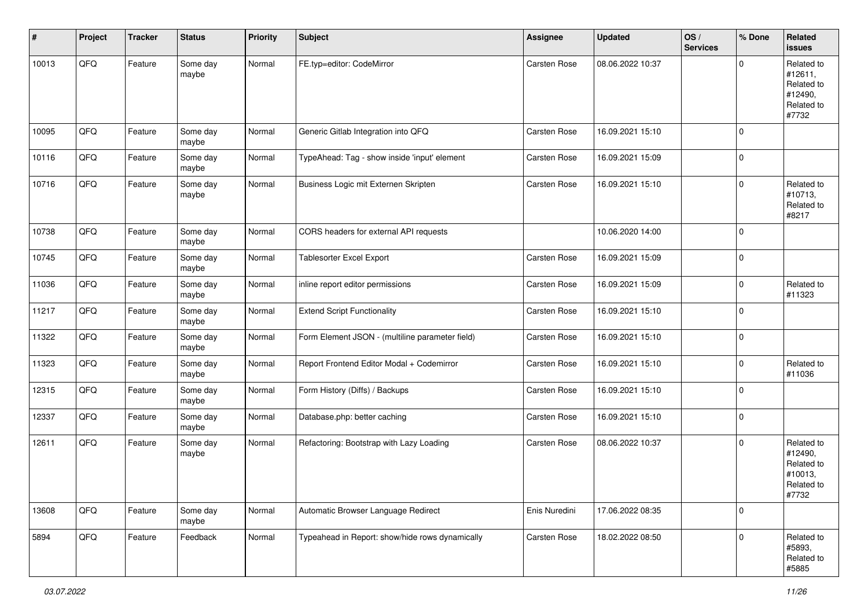| #     | Project | <b>Tracker</b> | <b>Status</b>     | <b>Priority</b> | <b>Subject</b>                                  | <b>Assignee</b>     | <b>Updated</b>   | OS/<br><b>Services</b> | % Done      | Related<br><b>issues</b>                                              |
|-------|---------|----------------|-------------------|-----------------|-------------------------------------------------|---------------------|------------------|------------------------|-------------|-----------------------------------------------------------------------|
| 10013 | QFQ     | Feature        | Some day<br>maybe | Normal          | FE.typ=editor: CodeMirror                       | Carsten Rose        | 08.06.2022 10:37 |                        | $\mathbf 0$ | Related to<br>#12611,<br>Related to<br>#12490,<br>Related to<br>#7732 |
| 10095 | QFQ     | Feature        | Some day<br>maybe | Normal          | Generic Gitlab Integration into QFQ             | Carsten Rose        | 16.09.2021 15:10 |                        | $\pmb{0}$   |                                                                       |
| 10116 | QFQ     | Feature        | Some day<br>maybe | Normal          | TypeAhead: Tag - show inside 'input' element    | Carsten Rose        | 16.09.2021 15:09 |                        | $\pmb{0}$   |                                                                       |
| 10716 | QFQ     | Feature        | Some day<br>maybe | Normal          | Business Logic mit Externen Skripten            | Carsten Rose        | 16.09.2021 15:10 |                        | $\mathbf 0$ | Related to<br>#10713,<br>Related to<br>#8217                          |
| 10738 | QFQ     | Feature        | Some day<br>maybe | Normal          | CORS headers for external API requests          |                     | 10.06.2020 14:00 |                        | $\mathbf 0$ |                                                                       |
| 10745 | QFQ     | Feature        | Some day<br>maybe | Normal          | Tablesorter Excel Export                        | Carsten Rose        | 16.09.2021 15:09 |                        | $\mathbf 0$ |                                                                       |
| 11036 | QFQ     | Feature        | Some day<br>maybe | Normal          | inline report editor permissions                | Carsten Rose        | 16.09.2021 15:09 |                        | $\pmb{0}$   | Related to<br>#11323                                                  |
| 11217 | QFQ     | Feature        | Some day<br>maybe | Normal          | <b>Extend Script Functionality</b>              | Carsten Rose        | 16.09.2021 15:10 |                        | $\pmb{0}$   |                                                                       |
| 11322 | QFQ     | Feature        | Some day<br>maybe | Normal          | Form Element JSON - (multiline parameter field) | Carsten Rose        | 16.09.2021 15:10 |                        | $\pmb{0}$   |                                                                       |
| 11323 | QFQ     | Feature        | Some day<br>maybe | Normal          | Report Frontend Editor Modal + Codemirror       | Carsten Rose        | 16.09.2021 15:10 |                        | 0           | Related to<br>#11036                                                  |
| 12315 | QFQ     | Feature        | Some day<br>maybe | Normal          | Form History (Diffs) / Backups                  | Carsten Rose        | 16.09.2021 15:10 |                        | $\pmb{0}$   |                                                                       |
| 12337 | QFQ     | Feature        | Some day<br>maybe | Normal          | Database.php: better caching                    | Carsten Rose        | 16.09.2021 15:10 |                        | $\mathbf 0$ |                                                                       |
| 12611 | QFQ     | Feature        | Some day<br>maybe | Normal          | Refactoring: Bootstrap with Lazy Loading        | <b>Carsten Rose</b> | 08.06.2022 10:37 |                        | $\pmb{0}$   | Related to<br>#12490,<br>Related to<br>#10013,<br>Related to<br>#7732 |
| 13608 | QFQ     | Feature        | Some day<br>maybe | Normal          | Automatic Browser Language Redirect             | Enis Nuredini       | 17.06.2022 08:35 |                        | $\pmb{0}$   |                                                                       |
| 5894  | QFQ     | Feature        | Feedback          | Normal          | Typeahead in Report: show/hide rows dynamically | Carsten Rose        | 18.02.2022 08:50 |                        | $\pmb{0}$   | Related to<br>#5893,<br>Related to<br>#5885                           |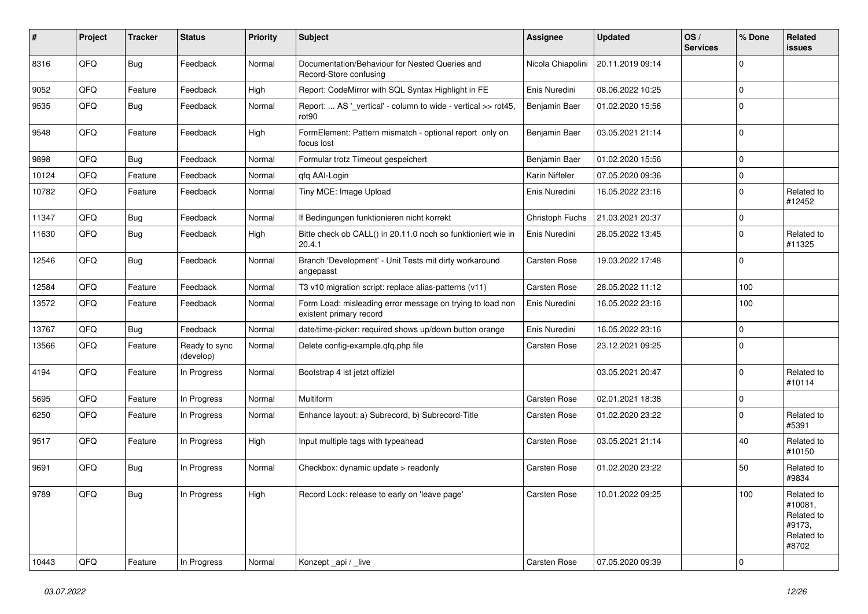| ∦     | Project | <b>Tracker</b> | <b>Status</b>              | <b>Priority</b> | <b>Subject</b>                                                                       | Assignee            | <b>Updated</b>   | OS/<br><b>Services</b> | % Done      | Related<br><b>issues</b>                                             |
|-------|---------|----------------|----------------------------|-----------------|--------------------------------------------------------------------------------------|---------------------|------------------|------------------------|-------------|----------------------------------------------------------------------|
| 8316  | QFQ     | <b>Bug</b>     | Feedback                   | Normal          | Documentation/Behaviour for Nested Queries and<br>Record-Store confusing             | Nicola Chiapolini   | 20.11.2019 09:14 |                        | $\Omega$    |                                                                      |
| 9052  | QFQ     | Feature        | Feedback                   | High            | Report: CodeMirror with SQL Syntax Highlight in FE                                   | Enis Nuredini       | 08.06.2022 10:25 |                        | $\mathbf 0$ |                                                                      |
| 9535  | QFQ     | <b>Bug</b>     | Feedback                   | Normal          | Report:  AS ' vertical' - column to wide - vertical >> rot45,<br>rot <sub>90</sub>   | Benjamin Baer       | 01.02.2020 15:56 |                        | $\mathbf 0$ |                                                                      |
| 9548  | QFQ     | Feature        | Feedback                   | High            | FormElement: Pattern mismatch - optional report only on<br>focus lost                | Benjamin Baer       | 03.05.2021 21:14 |                        | $\mathbf 0$ |                                                                      |
| 9898  | QFQ     | <b>Bug</b>     | Feedback                   | Normal          | Formular trotz Timeout gespeichert                                                   | Benjamin Baer       | 01.02.2020 15:56 |                        | $\Omega$    |                                                                      |
| 10124 | QFQ     | Feature        | Feedback                   | Normal          | qfq AAI-Login                                                                        | Karin Niffeler      | 07.05.2020 09:36 |                        | $\mathbf 0$ |                                                                      |
| 10782 | QFQ     | Feature        | Feedback                   | Normal          | Tiny MCE: Image Upload                                                               | Enis Nuredini       | 16.05.2022 23:16 |                        | $\Omega$    | Related to<br>#12452                                                 |
| 11347 | QFQ     | <b>Bug</b>     | Feedback                   | Normal          | If Bedingungen funktionieren nicht korrekt                                           | Christoph Fuchs     | 21.03.2021 20:37 |                        | $\mathbf 0$ |                                                                      |
| 11630 | QFQ     | Bug            | Feedback                   | High            | Bitte check ob CALL() in 20.11.0 noch so funktioniert wie in<br>20.4.1               | Enis Nuredini       | 28.05.2022 13:45 |                        | $\mathbf 0$ | Related to<br>#11325                                                 |
| 12546 | QFQ     | <b>Bug</b>     | Feedback                   | Normal          | Branch 'Development' - Unit Tests mit dirty workaround<br>angepasst                  | <b>Carsten Rose</b> | 19.03.2022 17:48 |                        | $\Omega$    |                                                                      |
| 12584 | QFQ     | Feature        | Feedback                   | Normal          | T3 v10 migration script: replace alias-patterns (v11)                                | <b>Carsten Rose</b> | 28.05.2022 11:12 |                        | 100         |                                                                      |
| 13572 | QFQ     | Feature        | Feedback                   | Normal          | Form Load: misleading error message on trying to load non<br>existent primary record | Enis Nuredini       | 16.05.2022 23:16 |                        | 100         |                                                                      |
| 13767 | QFQ     | <b>Bug</b>     | Feedback                   | Normal          | date/time-picker: required shows up/down button orange                               | Enis Nuredini       | 16.05.2022 23:16 |                        | $\mathbf 0$ |                                                                      |
| 13566 | QFQ     | Feature        | Ready to sync<br>(develop) | Normal          | Delete config-example.qfq.php file                                                   | Carsten Rose        | 23.12.2021 09:25 |                        | $\mathbf 0$ |                                                                      |
| 4194  | QFQ     | Feature        | In Progress                | Normal          | Bootstrap 4 ist jetzt offiziel                                                       |                     | 03.05.2021 20:47 |                        | $\mathbf 0$ | Related to<br>#10114                                                 |
| 5695  | QFQ     | Feature        | In Progress                | Normal          | Multiform                                                                            | <b>Carsten Rose</b> | 02.01.2021 18:38 |                        | $\mathbf 0$ |                                                                      |
| 6250  | QFQ     | Feature        | In Progress                | Normal          | Enhance layout: a) Subrecord, b) Subrecord-Title                                     | <b>Carsten Rose</b> | 01.02.2020 23:22 |                        | $\mathbf 0$ | Related to<br>#5391                                                  |
| 9517  | QFQ     | Feature        | In Progress                | High            | Input multiple tags with typeahead                                                   | Carsten Rose        | 03.05.2021 21:14 |                        | 40          | Related to<br>#10150                                                 |
| 9691  | QFQ     | <b>Bug</b>     | In Progress                | Normal          | Checkbox: dynamic update > readonly                                                  | Carsten Rose        | 01.02.2020 23:22 |                        | 50          | Related to<br>#9834                                                  |
| 9789  | QFQ     | <b>Bug</b>     | In Progress                | High            | Record Lock: release to early on 'leave page'                                        | <b>Carsten Rose</b> | 10.01.2022 09:25 |                        | 100         | Related to<br>#10081,<br>Related to<br>#9173.<br>Related to<br>#8702 |
| 10443 | QFQ     | Feature        | In Progress                | Normal          | Konzept_api / _live                                                                  | <b>Carsten Rose</b> | 07.05.2020 09:39 |                        | 0           |                                                                      |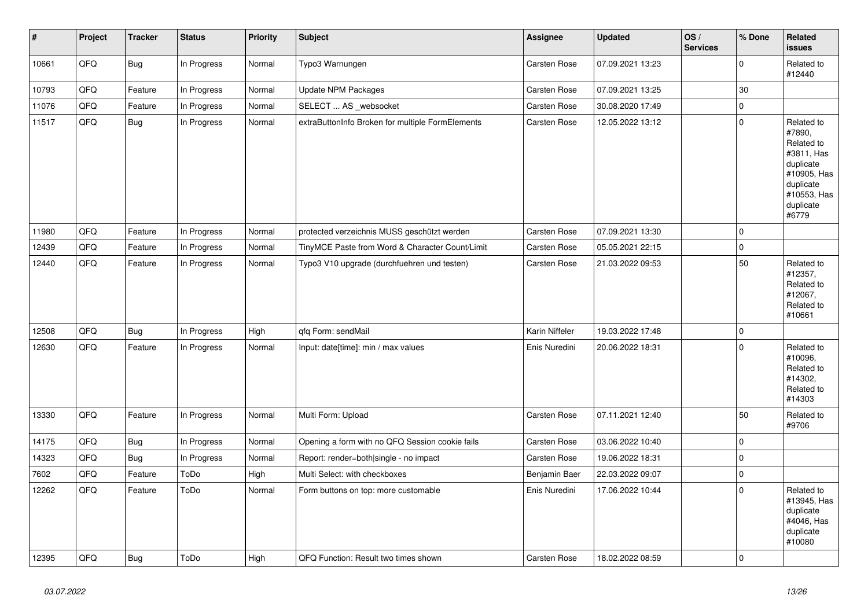| $\vert$ # | Project | <b>Tracker</b> | <b>Status</b> | <b>Priority</b> | <b>Subject</b>                                   | Assignee            | <b>Updated</b>   | OS/<br><b>Services</b> | % Done      | <b>Related</b><br>issues                                                                                                       |
|-----------|---------|----------------|---------------|-----------------|--------------------------------------------------|---------------------|------------------|------------------------|-------------|--------------------------------------------------------------------------------------------------------------------------------|
| 10661     | QFQ     | Bug            | In Progress   | Normal          | Typo3 Warnungen                                  | Carsten Rose        | 07.09.2021 13:23 |                        | $\mathbf 0$ | Related to<br>#12440                                                                                                           |
| 10793     | QFQ     | Feature        | In Progress   | Normal          | <b>Update NPM Packages</b>                       | <b>Carsten Rose</b> | 07.09.2021 13:25 |                        | 30          |                                                                                                                                |
| 11076     | QFQ     | Feature        | In Progress   | Normal          | SELECT  AS _websocket                            | Carsten Rose        | 30.08.2020 17:49 |                        | $\mathbf 0$ |                                                                                                                                |
| 11517     | QFQ     | <b>Bug</b>     | In Progress   | Normal          | extraButtonInfo Broken for multiple FormElements | Carsten Rose        | 12.05.2022 13:12 |                        | $\mathbf 0$ | Related to<br>#7890,<br>Related to<br>#3811, Has<br>duplicate<br>#10905, Has<br>duplicate<br>#10553, Has<br>duplicate<br>#6779 |
| 11980     | QFQ     | Feature        | In Progress   | Normal          | protected verzeichnis MUSS geschützt werden      | Carsten Rose        | 07.09.2021 13:30 |                        | $\mathbf 0$ |                                                                                                                                |
| 12439     | QFQ     | Feature        | In Progress   | Normal          | TinyMCE Paste from Word & Character Count/Limit  | Carsten Rose        | 05.05.2021 22:15 |                        | $\mathbf 0$ |                                                                                                                                |
| 12440     | QFQ     | Feature        | In Progress   | Normal          | Typo3 V10 upgrade (durchfuehren und testen)      | Carsten Rose        | 21.03.2022 09:53 |                        | 50          | Related to<br>#12357,<br>Related to<br>#12067,<br>Related to<br>#10661                                                         |
| 12508     | QFQ     | <b>Bug</b>     | In Progress   | High            | qfq Form: sendMail                               | Karin Niffeler      | 19.03.2022 17:48 |                        | $\mathbf 0$ |                                                                                                                                |
| 12630     | QFQ     | Feature        | In Progress   | Normal          | Input: date[time]: min / max values              | Enis Nuredini       | 20.06.2022 18:31 |                        | $\mathbf 0$ | Related to<br>#10096,<br>Related to<br>#14302,<br>Related to<br>#14303                                                         |
| 13330     | QFQ     | Feature        | In Progress   | Normal          | Multi Form: Upload                               | Carsten Rose        | 07.11.2021 12:40 |                        | 50          | Related to<br>#9706                                                                                                            |
| 14175     | QFQ     | Bug            | In Progress   | Normal          | Opening a form with no QFQ Session cookie fails  | Carsten Rose        | 03.06.2022 10:40 |                        | $\mathbf 0$ |                                                                                                                                |
| 14323     | QFQ     | <b>Bug</b>     | In Progress   | Normal          | Report: render=both single - no impact           | Carsten Rose        | 19.06.2022 18:31 |                        | $\pmb{0}$   |                                                                                                                                |
| 7602      | QFQ     | Feature        | ToDo          | High            | Multi Select: with checkboxes                    | Benjamin Baer       | 22.03.2022 09:07 |                        | $\Omega$    |                                                                                                                                |
| 12262     | QFQ     | Feature        | ToDo          | Normal          | Form buttons on top: more customable             | Enis Nuredini       | 17.06.2022 10:44 |                        | $\Omega$    | Related to<br>#13945, Has<br>duplicate<br>#4046, Has<br>duplicate<br>#10080                                                    |
| 12395     | QFQ     | Bug            | ToDo          | High            | QFQ Function: Result two times shown             | Carsten Rose        | 18.02.2022 08:59 |                        | $\mathbf 0$ |                                                                                                                                |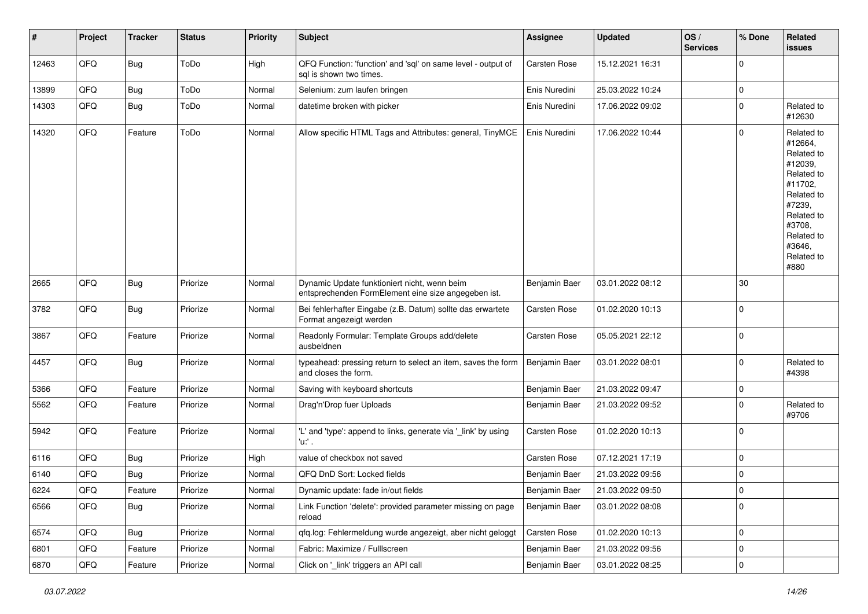| #     | Project | <b>Tracker</b> | <b>Status</b> | Priority | <b>Subject</b>                                                                                      | Assignee      | <b>Updated</b>   | OS/<br><b>Services</b> | % Done      | Related<br>issues                                                                                                                                                     |
|-------|---------|----------------|---------------|----------|-----------------------------------------------------------------------------------------------------|---------------|------------------|------------------------|-------------|-----------------------------------------------------------------------------------------------------------------------------------------------------------------------|
| 12463 | QFQ     | <b>Bug</b>     | ToDo          | High     | QFQ Function: 'function' and 'sql' on same level - output of<br>sql is shown two times.             | Carsten Rose  | 15.12.2021 16:31 |                        | $\Omega$    |                                                                                                                                                                       |
| 13899 | QFQ     | <b>Bug</b>     | ToDo          | Normal   | Selenium: zum laufen bringen                                                                        | Enis Nuredini | 25.03.2022 10:24 |                        | $\mathbf 0$ |                                                                                                                                                                       |
| 14303 | QFQ     | Bug            | ToDo          | Normal   | datetime broken with picker                                                                         | Enis Nuredini | 17.06.2022 09:02 |                        | $\mathbf 0$ | Related to<br>#12630                                                                                                                                                  |
| 14320 | QFQ     | Feature        | ToDo          | Normal   | Allow specific HTML Tags and Attributes: general, TinyMCE                                           | Enis Nuredini | 17.06.2022 10:44 |                        | $\Omega$    | Related to<br>#12664,<br>Related to<br>#12039,<br>Related to<br>#11702,<br>Related to<br>#7239,<br>Related to<br>#3708,<br>Related to<br>#3646,<br>Related to<br>#880 |
| 2665  | QFQ     | Bug            | Priorize      | Normal   | Dynamic Update funktioniert nicht, wenn beim<br>entsprechenden FormElement eine size angegeben ist. | Benjamin Baer | 03.01.2022 08:12 |                        | 30          |                                                                                                                                                                       |
| 3782  | QFQ     | <b>Bug</b>     | Priorize      | Normal   | Bei fehlerhafter Eingabe (z.B. Datum) sollte das erwartete<br>Format angezeigt werden               | Carsten Rose  | 01.02.2020 10:13 |                        | $\Omega$    |                                                                                                                                                                       |
| 3867  | QFQ     | Feature        | Priorize      | Normal   | Readonly Formular: Template Groups add/delete<br>ausbeldnen                                         | Carsten Rose  | 05.05.2021 22:12 |                        | $\Omega$    |                                                                                                                                                                       |
| 4457  | QFQ     | Bug            | Priorize      | Normal   | typeahead: pressing return to select an item, saves the form<br>and closes the form.                | Benjamin Baer | 03.01.2022 08:01 |                        | $\mathbf 0$ | Related to<br>#4398                                                                                                                                                   |
| 5366  | QFQ     | Feature        | Priorize      | Normal   | Saving with keyboard shortcuts                                                                      | Benjamin Baer | 21.03.2022 09:47 |                        | $\mathbf 0$ |                                                                                                                                                                       |
| 5562  | QFQ     | Feature        | Priorize      | Normal   | Drag'n'Drop fuer Uploads                                                                            | Benjamin Baer | 21.03.2022 09:52 |                        | $\Omega$    | Related to<br>#9706                                                                                                                                                   |
| 5942  | QFQ     | Feature        | Priorize      | Normal   | 'L' and 'type': append to links, generate via '_link' by using<br>'u:' .                            | Carsten Rose  | 01.02.2020 10:13 |                        | $\Omega$    |                                                                                                                                                                       |
| 6116  | QFQ     | Bug            | Priorize      | High     | value of checkbox not saved                                                                         | Carsten Rose  | 07.12.2021 17:19 |                        | 0           |                                                                                                                                                                       |
| 6140  | QFQ     | <b>Bug</b>     | Priorize      | Normal   | QFQ DnD Sort: Locked fields                                                                         | Benjamin Baer | 21.03.2022 09:56 |                        | $\mathbf 0$ |                                                                                                                                                                       |
| 6224  | QFG     | Feature        | Priorize      | Normal   | Dynamic update: fade in/out fields                                                                  | Benjamin Baer | 21.03.2022 09:50 |                        | $\Omega$    |                                                                                                                                                                       |
| 6566  | QFQ     | Bug            | Priorize      | Normal   | Link Function 'delete': provided parameter missing on page<br>reload                                | Benjamin Baer | 03.01.2022 08:08 |                        | $\Omega$    |                                                                                                                                                                       |
| 6574  | QFQ     | Bug            | Priorize      | Normal   | qfq.log: Fehlermeldung wurde angezeigt, aber nicht geloggt                                          | Carsten Rose  | 01.02.2020 10:13 |                        | 0           |                                                                                                                                                                       |
| 6801  | QFQ     | Feature        | Priorize      | Normal   | Fabric: Maximize / FullIscreen                                                                      | Benjamin Baer | 21.03.2022 09:56 |                        | $\mathbf 0$ |                                                                                                                                                                       |
| 6870  | QFG     | Feature        | Priorize      | Normal   | Click on '_link' triggers an API call                                                               | Benjamin Baer | 03.01.2022 08:25 |                        | 0           |                                                                                                                                                                       |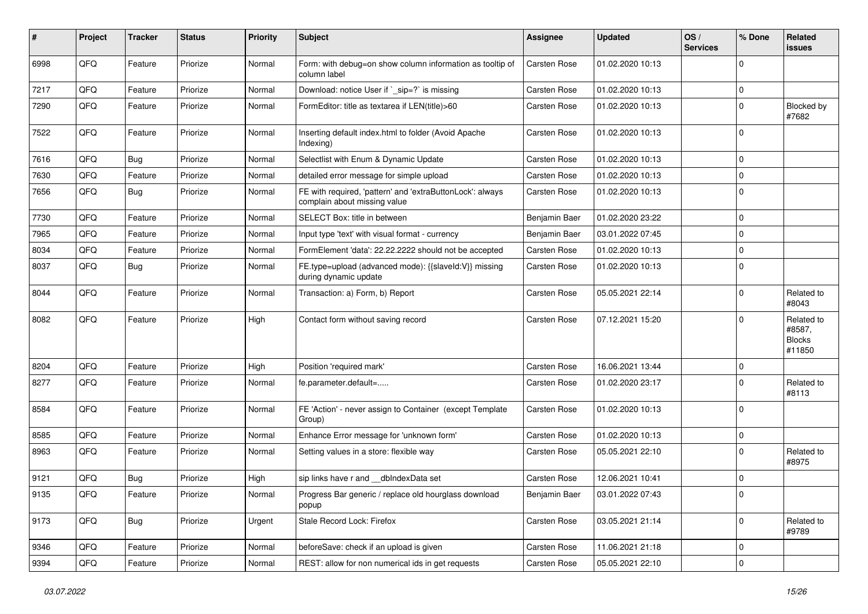| $\sharp$ | Project | <b>Tracker</b> | <b>Status</b> | <b>Priority</b> | <b>Subject</b>                                                                            | <b>Assignee</b>     | <b>Updated</b>   | OS/<br><b>Services</b> | % Done         | Related<br>issues                               |
|----------|---------|----------------|---------------|-----------------|-------------------------------------------------------------------------------------------|---------------------|------------------|------------------------|----------------|-------------------------------------------------|
| 6998     | QFQ     | Feature        | Priorize      | Normal          | Form: with debug=on show column information as tooltip of<br>column label                 | Carsten Rose        | 01.02.2020 10:13 |                        | $\Omega$       |                                                 |
| 7217     | QFQ     | Feature        | Priorize      | Normal          | Download: notice User if `_sip=?` is missing                                              | Carsten Rose        | 01.02.2020 10:13 |                        | 0              |                                                 |
| 7290     | QFQ     | Feature        | Priorize      | Normal          | FormEditor: title as textarea if LEN(title)>60                                            | <b>Carsten Rose</b> | 01.02.2020 10:13 |                        | $\mathbf 0$    | Blocked by<br>#7682                             |
| 7522     | QFQ     | Feature        | Priorize      | Normal          | Inserting default index.html to folder (Avoid Apache<br>Indexing)                         | <b>Carsten Rose</b> | 01.02.2020 10:13 |                        | $\Omega$       |                                                 |
| 7616     | QFQ     | Bug            | Priorize      | Normal          | Selectlist with Enum & Dynamic Update                                                     | <b>Carsten Rose</b> | 01.02.2020 10:13 |                        | $\Omega$       |                                                 |
| 7630     | QFQ     | Feature        | Priorize      | Normal          | detailed error message for simple upload                                                  | <b>Carsten Rose</b> | 01.02.2020 10:13 |                        | $\mathbf 0$    |                                                 |
| 7656     | QFQ     | Bug            | Priorize      | Normal          | FE with required, 'pattern' and 'extraButtonLock': always<br>complain about missing value | <b>Carsten Rose</b> | 01.02.2020 10:13 |                        | $\Omega$       |                                                 |
| 7730     | QFQ     | Feature        | Priorize      | Normal          | SELECT Box: title in between                                                              | Benjamin Baer       | 01.02.2020 23:22 |                        | $\mathbf 0$    |                                                 |
| 7965     | QFQ     | Feature        | Priorize      | Normal          | Input type 'text' with visual format - currency                                           | Benjamin Baer       | 03.01.2022 07:45 |                        | $\Omega$       |                                                 |
| 8034     | QFQ     | Feature        | Priorize      | Normal          | FormElement 'data': 22.22.2222 should not be accepted                                     | <b>Carsten Rose</b> | 01.02.2020 10:13 |                        | $\Omega$       |                                                 |
| 8037     | QFQ     | <b>Bug</b>     | Priorize      | Normal          | FE.type=upload (advanced mode): {{slaveId:V}} missing<br>during dynamic update            | <b>Carsten Rose</b> | 01.02.2020 10:13 |                        | $\mathbf 0$    |                                                 |
| 8044     | QFQ     | Feature        | Priorize      | Normal          | Transaction: a) Form, b) Report                                                           | <b>Carsten Rose</b> | 05.05.2021 22:14 |                        | $\mathbf 0$    | Related to<br>#8043                             |
| 8082     | QFQ     | Feature        | Priorize      | High            | Contact form without saving record                                                        | <b>Carsten Rose</b> | 07.12.2021 15:20 |                        | $\mathbf 0$    | Related to<br>#8587,<br><b>Blocks</b><br>#11850 |
| 8204     | QFQ     | Feature        | Priorize      | High            | Position 'required mark'                                                                  | Carsten Rose        | 16.06.2021 13:44 |                        | $\mathbf 0$    |                                                 |
| 8277     | QFQ     | Feature        | Priorize      | Normal          | fe.parameter.default=                                                                     | Carsten Rose        | 01.02.2020 23:17 |                        | $\Omega$       | Related to<br>#8113                             |
| 8584     | QFQ     | Feature        | Priorize      | Normal          | FE 'Action' - never assign to Container (except Template<br>Group)                        | <b>Carsten Rose</b> | 01.02.2020 10:13 |                        | $\mathbf 0$    |                                                 |
| 8585     | QFQ     | Feature        | Priorize      | Normal          | Enhance Error message for 'unknown form'                                                  | <b>Carsten Rose</b> | 01.02.2020 10:13 |                        | $\mathbf 0$    |                                                 |
| 8963     | QFQ     | Feature        | Priorize      | Normal          | Setting values in a store: flexible way                                                   | <b>Carsten Rose</b> | 05.05.2021 22:10 |                        | $\Omega$       | Related to<br>#8975                             |
| 9121     | QFQ     | Bug            | Priorize      | High            | sip links have r and __dbIndexData set                                                    | Carsten Rose        | 12.06.2021 10:41 |                        | $\mathbf 0$    |                                                 |
| 9135     | QFQ     | Feature        | Priorize      | Normal          | Progress Bar generic / replace old hourglass download<br>popup                            | Benjamin Baer       | 03.01.2022 07:43 |                        | 0              |                                                 |
| 9173     | QFQ     | <b>Bug</b>     | Priorize      | Urgent          | Stale Record Lock: Firefox                                                                | Carsten Rose        | 03.05.2021 21:14 |                        | $\mathbf 0$    | Related to<br>#9789                             |
| 9346     | QFQ     | Feature        | Priorize      | Normal          | beforeSave: check if an upload is given                                                   | Carsten Rose        | 11.06.2021 21:18 |                        | $\overline{0}$ |                                                 |
| 9394     | QFQ     | Feature        | Priorize      | Normal          | REST: allow for non numerical ids in get requests                                         | Carsten Rose        | 05.05.2021 22:10 |                        | $\mathbf 0$    |                                                 |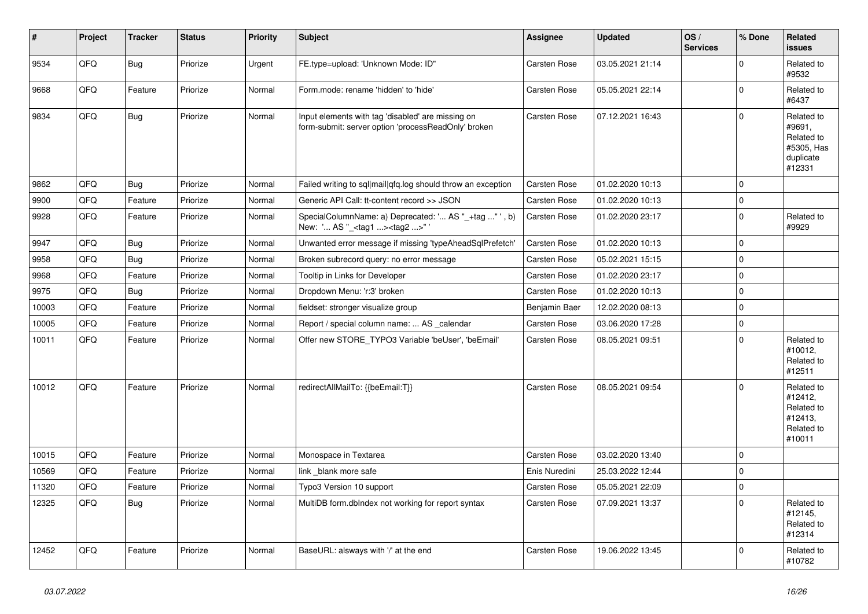| #     | Project | <b>Tracker</b> | <b>Status</b> | <b>Priority</b> | <b>Subject</b>                                                                                           | Assignee            | <b>Updated</b>   | OS/<br><b>Services</b> | % Done      | Related<br><b>issues</b>                                                |
|-------|---------|----------------|---------------|-----------------|----------------------------------------------------------------------------------------------------------|---------------------|------------------|------------------------|-------------|-------------------------------------------------------------------------|
| 9534  | QFQ     | <b>Bug</b>     | Priorize      | Urgent          | FE.type=upload: 'Unknown Mode: ID"                                                                       | <b>Carsten Rose</b> | 03.05.2021 21:14 |                        | $\mathbf 0$ | Related to<br>#9532                                                     |
| 9668  | QFQ     | Feature        | Priorize      | Normal          | Form.mode: rename 'hidden' to 'hide'                                                                     | <b>Carsten Rose</b> | 05.05.2021 22:14 |                        | $\pmb{0}$   | Related to<br>#6437                                                     |
| 9834  | QFQ     | <b>Bug</b>     | Priorize      | Normal          | Input elements with tag 'disabled' are missing on<br>form-submit: server option 'processReadOnly' broken | <b>Carsten Rose</b> | 07.12.2021 16:43 |                        | $\Omega$    | Related to<br>#9691.<br>Related to<br>#5305, Has<br>duplicate<br>#12331 |
| 9862  | QFQ     | Bug            | Priorize      | Normal          | Failed writing to sql mail qfq.log should throw an exception                                             | <b>Carsten Rose</b> | 01.02.2020 10:13 |                        | $\mathbf 0$ |                                                                         |
| 9900  | QFQ     | Feature        | Priorize      | Normal          | Generic API Call: tt-content record >> JSON                                                              | <b>Carsten Rose</b> | 01.02.2020 10:13 |                        | $\pmb{0}$   |                                                                         |
| 9928  | QFQ     | Feature        | Priorize      | Normal          | SpecialColumnName: a) Deprecated: ' AS "_+tag " ', b)<br>New: ' AS "_ <tag1><tag2>"</tag2></tag1>        | <b>Carsten Rose</b> | 01.02.2020 23:17 |                        | $\pmb{0}$   | Related to<br>#9929                                                     |
| 9947  | QFQ     | <b>Bug</b>     | Priorize      | Normal          | Unwanted error message if missing 'typeAheadSqlPrefetch'                                                 | <b>Carsten Rose</b> | 01.02.2020 10:13 |                        | $\mathbf 0$ |                                                                         |
| 9958  | QFQ     | Bug            | Priorize      | Normal          | Broken subrecord query: no error message                                                                 | Carsten Rose        | 05.02.2021 15:15 |                        | $\pmb{0}$   |                                                                         |
| 9968  | QFQ     | Feature        | Priorize      | Normal          | Tooltip in Links for Developer                                                                           | <b>Carsten Rose</b> | 01.02.2020 23:17 |                        | $\pmb{0}$   |                                                                         |
| 9975  | QFQ     | Bug            | Priorize      | Normal          | Dropdown Menu: 'r:3' broken                                                                              | Carsten Rose        | 01.02.2020 10:13 |                        | $\pmb{0}$   |                                                                         |
| 10003 | QFQ     | Feature        | Priorize      | Normal          | fieldset: stronger visualize group                                                                       | Benjamin Baer       | 12.02.2020 08:13 |                        | $\pmb{0}$   |                                                                         |
| 10005 | QFQ     | Feature        | Priorize      | Normal          | Report / special column name:  AS _calendar                                                              | Carsten Rose        | 03.06.2020 17:28 |                        | $\pmb{0}$   |                                                                         |
| 10011 | QFQ     | Feature        | Priorize      | Normal          | Offer new STORE TYPO3 Variable 'beUser', 'beEmail'                                                       | Carsten Rose        | 08.05.2021 09:51 |                        | $\mathbf 0$ | Related to<br>#10012,<br>Related to<br>#12511                           |
| 10012 | QFQ     | Feature        | Priorize      | Normal          | redirectAllMailTo: {{beEmail:T}}                                                                         | <b>Carsten Rose</b> | 08.05.2021 09:54 |                        | $\Omega$    | Related to<br>#12412,<br>Related to<br>#12413,<br>Related to<br>#10011  |
| 10015 | QFQ     | Feature        | Priorize      | Normal          | Monospace in Textarea                                                                                    | Carsten Rose        | 03.02.2020 13:40 |                        | $\mathbf 0$ |                                                                         |
| 10569 | QFQ     | Feature        | Priorize      | Normal          | link blank more safe                                                                                     | Enis Nuredini       | 25.03.2022 12:44 |                        | $\pmb{0}$   |                                                                         |
| 11320 | QFQ     | Feature        | Priorize      | Normal          | Typo3 Version 10 support                                                                                 | Carsten Rose        | 05.05.2021 22:09 |                        | $\pmb{0}$   |                                                                         |
| 12325 | QFQ     | Bug            | Priorize      | Normal          | MultiDB form.dblndex not working for report syntax                                                       | <b>Carsten Rose</b> | 07.09.2021 13:37 |                        | $\mathbf 0$ | Related to<br>#12145,<br>Related to<br>#12314                           |
| 12452 | QFQ     | Feature        | Priorize      | Normal          | BaseURL: alsways with '/' at the end                                                                     | Carsten Rose        | 19.06.2022 13:45 |                        | $\mathbf 0$ | Related to<br>#10782                                                    |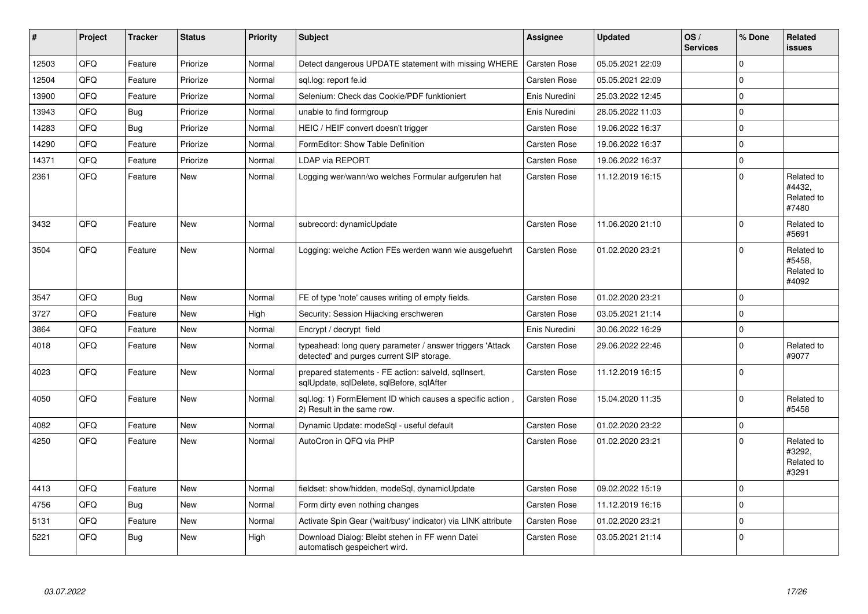| #     | Project | <b>Tracker</b> | <b>Status</b> | Priority | <b>Subject</b>                                                                                         | Assignee            | <b>Updated</b>   | OS/<br><b>Services</b> | % Done      | Related<br><b>issues</b>                    |
|-------|---------|----------------|---------------|----------|--------------------------------------------------------------------------------------------------------|---------------------|------------------|------------------------|-------------|---------------------------------------------|
| 12503 | QFQ     | Feature        | Priorize      | Normal   | Detect dangerous UPDATE statement with missing WHERE                                                   | Carsten Rose        | 05.05.2021 22:09 |                        | $\Omega$    |                                             |
| 12504 | QFQ     | Feature        | Priorize      | Normal   | sql.log: report fe.id                                                                                  | <b>Carsten Rose</b> | 05.05.2021 22:09 |                        | $\Omega$    |                                             |
| 13900 | QFQ     | Feature        | Priorize      | Normal   | Selenium: Check das Cookie/PDF funktioniert                                                            | Enis Nuredini       | 25.03.2022 12:45 |                        | $\mathbf 0$ |                                             |
| 13943 | QFQ     | Bug            | Priorize      | Normal   | unable to find formgroup                                                                               | Enis Nuredini       | 28.05.2022 11:03 |                        | $\mathbf 0$ |                                             |
| 14283 | QFQ     | <b>Bug</b>     | Priorize      | Normal   | HEIC / HEIF convert doesn't trigger                                                                    | <b>Carsten Rose</b> | 19.06.2022 16:37 |                        | $\mathbf 0$ |                                             |
| 14290 | QFQ     | Feature        | Priorize      | Normal   | FormEditor: Show Table Definition                                                                      | Carsten Rose        | 19.06.2022 16:37 |                        | $\mathbf 0$ |                                             |
| 14371 | QFQ     | Feature        | Priorize      | Normal   | LDAP via REPORT                                                                                        | Carsten Rose        | 19.06.2022 16:37 |                        | $\mathbf 0$ |                                             |
| 2361  | QFQ     | Feature        | <b>New</b>    | Normal   | Logging wer/wann/wo welches Formular aufgerufen hat                                                    | <b>Carsten Rose</b> | 11.12.2019 16:15 |                        | $\Omega$    | Related to<br>#4432,<br>Related to<br>#7480 |
| 3432  | QFQ     | Feature        | New           | Normal   | subrecord: dynamicUpdate                                                                               | <b>Carsten Rose</b> | 11.06.2020 21:10 |                        | $\mathbf 0$ | Related to<br>#5691                         |
| 3504  | QFQ     | Feature        | New           | Normal   | Logging: welche Action FEs werden wann wie ausgefuehrt                                                 | Carsten Rose        | 01.02.2020 23:21 |                        | $\Omega$    | Related to<br>#5458,<br>Related to<br>#4092 |
| 3547  | QFQ     | Bug            | <b>New</b>    | Normal   | FE of type 'note' causes writing of empty fields.                                                      | <b>Carsten Rose</b> | 01.02.2020 23:21 |                        | $\mathbf 0$ |                                             |
| 3727  | QFQ     | Feature        | New           | High     | Security: Session Hijacking erschweren                                                                 | <b>Carsten Rose</b> | 03.05.2021 21:14 |                        | $\Omega$    |                                             |
| 3864  | QFQ     | Feature        | <b>New</b>    | Normal   | Encrypt / decrypt field                                                                                | Enis Nuredini       | 30.06.2022 16:29 |                        | $\mathbf 0$ |                                             |
| 4018  | QFQ     | Feature        | New           | Normal   | typeahead: long query parameter / answer triggers 'Attack<br>detected' and purges current SIP storage. | Carsten Rose        | 29.06.2022 22:46 |                        | $\Omega$    | Related to<br>#9077                         |
| 4023  | QFQ     | Feature        | New           | Normal   | prepared statements - FE action: salveld, sqllnsert,<br>sqlUpdate, sqlDelete, sqlBefore, sqlAfter      | <b>Carsten Rose</b> | 11.12.2019 16:15 |                        | $\mathbf 0$ |                                             |
| 4050  | QFQ     | Feature        | New           | Normal   | sql.log: 1) FormElement ID which causes a specific action,<br>2) Result in the same row.               | Carsten Rose        | 15.04.2020 11:35 |                        | $\Omega$    | Related to<br>#5458                         |
| 4082  | QFQ     | Feature        | <b>New</b>    | Normal   | Dynamic Update: modeSgl - useful default                                                               | <b>Carsten Rose</b> | 01.02.2020 23:22 |                        | $\mathbf 0$ |                                             |
| 4250  | QFQ     | Feature        | <b>New</b>    | Normal   | AutoCron in QFQ via PHP                                                                                | <b>Carsten Rose</b> | 01.02.2020 23:21 |                        | $\Omega$    | Related to<br>#3292,<br>Related to<br>#3291 |
| 4413  | QFQ     | Feature        | New           | Normal   | fieldset: show/hidden, modeSql, dynamicUpdate                                                          | Carsten Rose        | 09.02.2022 15:19 |                        | $\Omega$    |                                             |
| 4756  | QFQ     | Bug            | New           | Normal   | Form dirty even nothing changes                                                                        | Carsten Rose        | 11.12.2019 16:16 |                        | 0           |                                             |
| 5131  | QFQ     | Feature        | New           | Normal   | Activate Spin Gear ('wait/busy' indicator) via LINK attribute                                          | <b>Carsten Rose</b> | 01.02.2020 23:21 |                        | $\mathbf 0$ |                                             |
| 5221  | QFQ     | Bug            | <b>New</b>    | High     | Download Dialog: Bleibt stehen in FF wenn Datei<br>automatisch gespeichert wird.                       | <b>Carsten Rose</b> | 03.05.2021 21:14 |                        | $\Omega$    |                                             |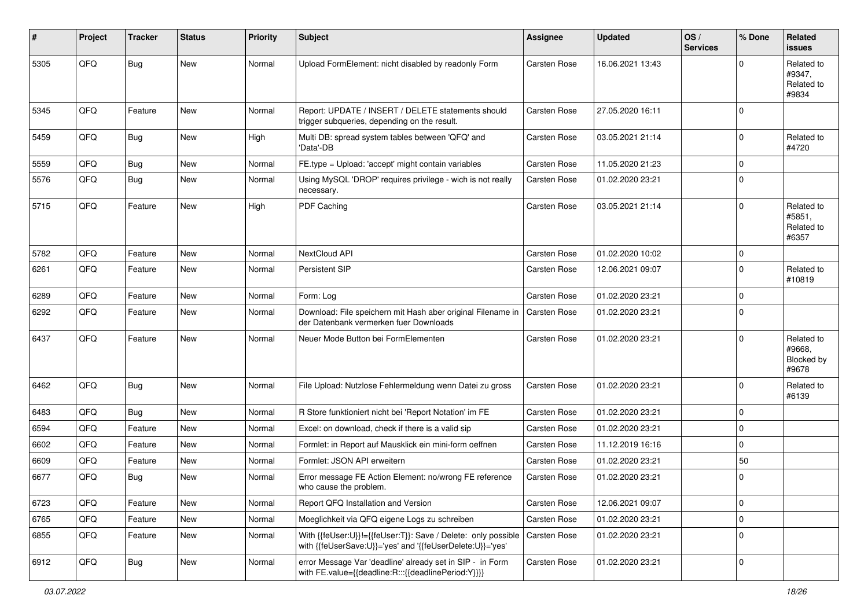| #    | Project | <b>Tracker</b> | <b>Status</b> | <b>Priority</b> | <b>Subject</b>                                                                                                             | Assignee            | <b>Updated</b>   | OS/<br><b>Services</b> | % Done      | Related<br>issues                           |
|------|---------|----------------|---------------|-----------------|----------------------------------------------------------------------------------------------------------------------------|---------------------|------------------|------------------------|-------------|---------------------------------------------|
| 5305 | QFQ     | <b>Bug</b>     | New           | Normal          | Upload FormElement: nicht disabled by readonly Form                                                                        | Carsten Rose        | 16.06.2021 13:43 |                        | $\Omega$    | Related to<br>#9347,<br>Related to<br>#9834 |
| 5345 | QFQ     | Feature        | New           | Normal          | Report: UPDATE / INSERT / DELETE statements should<br>trigger subqueries, depending on the result.                         | Carsten Rose        | 27.05.2020 16:11 |                        | $\Omega$    |                                             |
| 5459 | QFQ     | <b>Bug</b>     | New           | High            | Multi DB: spread system tables between 'QFQ' and<br>'Data'-DB                                                              | <b>Carsten Rose</b> | 03.05.2021 21:14 |                        | $\Omega$    | Related to<br>#4720                         |
| 5559 | QFQ     | Bug            | <b>New</b>    | Normal          | FE.type = Upload: 'accept' might contain variables                                                                         | Carsten Rose        | 11.05.2020 21:23 |                        | $\mathbf 0$ |                                             |
| 5576 | QFQ     | Bug            | New           | Normal          | Using MySQL 'DROP' requires privilege - wich is not really<br>necessary.                                                   | Carsten Rose        | 01.02.2020 23:21 |                        | 0           |                                             |
| 5715 | QFQ     | Feature        | New           | High            | PDF Caching                                                                                                                | <b>Carsten Rose</b> | 03.05.2021 21:14 |                        | $\mathbf 0$ | Related to<br>#5851,<br>Related to<br>#6357 |
| 5782 | QFQ     | Feature        | <b>New</b>    | Normal          | NextCloud API                                                                                                              | <b>Carsten Rose</b> | 01.02.2020 10:02 |                        | 0           |                                             |
| 6261 | QFQ     | Feature        | New           | Normal          | Persistent SIP                                                                                                             | Carsten Rose        | 12.06.2021 09:07 |                        | $\mathbf 0$ | Related to<br>#10819                        |
| 6289 | QFQ     | Feature        | New           | Normal          | Form: Log                                                                                                                  | <b>Carsten Rose</b> | 01.02.2020 23:21 |                        | $\mathbf 0$ |                                             |
| 6292 | QFQ     | Feature        | New           | Normal          | Download: File speichern mit Hash aber original Filename in<br>der Datenbank vermerken fuer Downloads                      | <b>Carsten Rose</b> | 01.02.2020 23:21 |                        | 0           |                                             |
| 6437 | QFQ     | Feature        | <b>New</b>    | Normal          | Neuer Mode Button bei FormElementen                                                                                        | Carsten Rose        | 01.02.2020 23:21 |                        | $\Omega$    | Related to<br>#9668.<br>Blocked by<br>#9678 |
| 6462 | QFQ     | Bug            | New           | Normal          | File Upload: Nutzlose Fehlermeldung wenn Datei zu gross                                                                    | <b>Carsten Rose</b> | 01.02.2020 23:21 |                        | $\mathbf 0$ | Related to<br>#6139                         |
| 6483 | QFQ     | <b>Bug</b>     | New           | Normal          | R Store funktioniert nicht bei 'Report Notation' im FE                                                                     | Carsten Rose        | 01.02.2020 23:21 |                        | $\mathbf 0$ |                                             |
| 6594 | QFQ     | Feature        | <b>New</b>    | Normal          | Excel: on download, check if there is a valid sip                                                                          | <b>Carsten Rose</b> | 01.02.2020 23:21 |                        | $\mathbf 0$ |                                             |
| 6602 | QFQ     | Feature        | New           | Normal          | Formlet: in Report auf Mausklick ein mini-form oeffnen                                                                     | <b>Carsten Rose</b> | 11.12.2019 16:16 |                        | $\mathbf 0$ |                                             |
| 6609 | QFQ     | Feature        | New           | Normal          | Formlet: JSON API erweitern                                                                                                | Carsten Rose        | 01.02.2020 23:21 |                        | 50          |                                             |
| 6677 | QFQ     | Bug            | New           | Normal          | Error message FE Action Element: no/wrong FE reference<br>who cause the problem.                                           | Carsten Rose        | 01.02.2020 23:21 |                        | 0           |                                             |
| 6723 | QFQ     | Feature        | New           | Normal          | Report QFQ Installation and Version                                                                                        | Carsten Rose        | 12.06.2021 09:07 |                        | $\mathbf 0$ |                                             |
| 6765 | QFQ     | Feature        | New           | Normal          | Moeglichkeit via QFQ eigene Logs zu schreiben                                                                              | Carsten Rose        | 01.02.2020 23:21 |                        | $\mathbf 0$ |                                             |
| 6855 | QFQ     | Feature        | New           | Normal          | With {{feUser:U}}!={{feUser:T}}: Save / Delete: only possible<br>with {{feUserSave:U}}='yes' and '{{feUserDelete:U}}='yes' | Carsten Rose        | 01.02.2020 23:21 |                        | $\mathbf 0$ |                                             |
| 6912 | QFO     | <b>Bug</b>     | New           | Normal          | error Message Var 'deadline' already set in SIP - in Form<br>with FE.value={{deadline:R:::{{deadlinePeriod:Y}}}}           | Carsten Rose        | 01.02.2020 23:21 |                        | $\mathbf 0$ |                                             |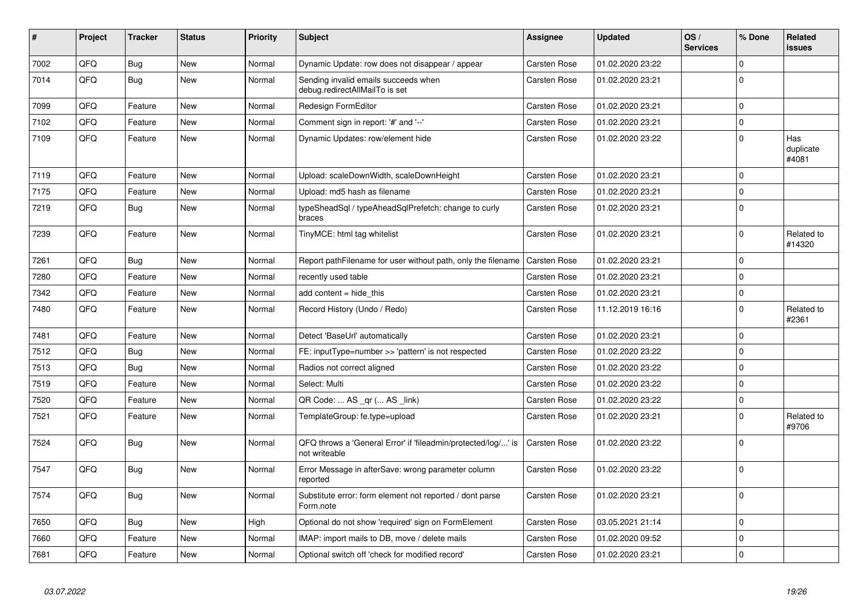| #    | Project | <b>Tracker</b> | <b>Status</b> | <b>Priority</b> | <b>Subject</b>                                                                 | Assignee            | <b>Updated</b>   | OS/<br><b>Services</b> | % Done      | Related<br><b>issues</b>  |
|------|---------|----------------|---------------|-----------------|--------------------------------------------------------------------------------|---------------------|------------------|------------------------|-------------|---------------------------|
| 7002 | QFQ     | Bug            | <b>New</b>    | Normal          | Dynamic Update: row does not disappear / appear                                | <b>Carsten Rose</b> | 01.02.2020 23:22 |                        | $\Omega$    |                           |
| 7014 | QFQ     | Bug            | New           | Normal          | Sending invalid emails succeeds when<br>debug.redirectAllMailTo is set         | Carsten Rose        | 01.02.2020 23:21 |                        | $\Omega$    |                           |
| 7099 | QFQ     | Feature        | New           | Normal          | Redesign FormEditor                                                            | Carsten Rose        | 01.02.2020 23:21 |                        | $\mathbf 0$ |                           |
| 7102 | QFQ     | Feature        | New           | Normal          | Comment sign in report: '#' and '--'                                           | Carsten Rose        | 01.02.2020 23:21 |                        | $\Omega$    |                           |
| 7109 | QFQ     | Feature        | New           | Normal          | Dynamic Updates: row/element hide                                              | Carsten Rose        | 01.02.2020 23:22 |                        | $\mathbf 0$ | Has<br>duplicate<br>#4081 |
| 7119 | QFQ     | Feature        | <b>New</b>    | Normal          | Upload: scaleDownWidth, scaleDownHeight                                        | <b>Carsten Rose</b> | 01.02.2020 23:21 |                        | $\Omega$    |                           |
| 7175 | QFQ     | Feature        | <b>New</b>    | Normal          | Upload: md5 hash as filename                                                   | <b>Carsten Rose</b> | 01.02.2020 23:21 |                        | $\mathbf 0$ |                           |
| 7219 | QFQ     | Bug            | New           | Normal          | typeSheadSql / typeAheadSqlPrefetch: change to curly<br>braces                 | <b>Carsten Rose</b> | 01.02.2020 23:21 |                        | $\Omega$    |                           |
| 7239 | QFQ     | Feature        | <b>New</b>    | Normal          | TinyMCE: html tag whitelist                                                    | <b>Carsten Rose</b> | 01.02.2020 23:21 |                        | $\mathbf 0$ | Related to<br>#14320      |
| 7261 | QFQ     | Bug            | New           | Normal          | Report pathFilename for user without path, only the filename                   | <b>Carsten Rose</b> | 01.02.2020 23:21 |                        | $\mathbf 0$ |                           |
| 7280 | QFQ     | Feature        | <b>New</b>    | Normal          | recently used table                                                            | <b>Carsten Rose</b> | 01.02.2020 23:21 |                        | $\Omega$    |                           |
| 7342 | QFQ     | Feature        | New           | Normal          | add content = hide this                                                        | Carsten Rose        | 01.02.2020 23:21 |                        | $\mathbf 0$ |                           |
| 7480 | QFQ     | Feature        | <b>New</b>    | Normal          | Record History (Undo / Redo)                                                   | Carsten Rose        | 11.12.2019 16:16 |                        | $\Omega$    | Related to<br>#2361       |
| 7481 | QFQ     | Feature        | New           | Normal          | Detect 'BaseUrl' automatically                                                 | Carsten Rose        | 01.02.2020 23:21 |                        | $\Omega$    |                           |
| 7512 | QFQ     | Bug            | <b>New</b>    | Normal          | FE: inputType=number >> 'pattern' is not respected                             | Carsten Rose        | 01.02.2020 23:22 |                        | $\mathbf 0$ |                           |
| 7513 | QFQ     | Bug            | New           | Normal          | Radios not correct aligned                                                     | <b>Carsten Rose</b> | 01.02.2020 23:22 |                        | $\mathbf 0$ |                           |
| 7519 | QFQ     | Feature        | New           | Normal          | Select: Multi                                                                  | <b>Carsten Rose</b> | 01.02.2020 23:22 |                        | $\Omega$    |                           |
| 7520 | QFQ     | Feature        | New           | Normal          | QR Code:  AS _qr ( AS _link)                                                   | <b>Carsten Rose</b> | 01.02.2020 23:22 |                        | $\mathbf 0$ |                           |
| 7521 | QFQ     | Feature        | New           | Normal          | TemplateGroup: fe.type=upload                                                  | <b>Carsten Rose</b> | 01.02.2020 23:21 |                        | $\Omega$    | Related to<br>#9706       |
| 7524 | QFQ     | Bug            | <b>New</b>    | Normal          | QFQ throws a 'General Error' if 'fileadmin/protected/log/' is<br>not writeable | <b>Carsten Rose</b> | 01.02.2020 23:22 |                        | $\Omega$    |                           |
| 7547 | QFQ     | <b>Bug</b>     | New           | Normal          | Error Message in afterSave: wrong parameter column<br>reported                 | <b>Carsten Rose</b> | 01.02.2020 23:22 |                        | $\Omega$    |                           |
| 7574 | QFQ     | Bug            | New           | Normal          | Substitute error: form element not reported / dont parse<br>Form.note          | <b>Carsten Rose</b> | 01.02.2020 23:21 |                        | $\Omega$    |                           |
| 7650 | QFQ     | Bug            | New           | High            | Optional do not show 'required' sign on FormElement                            | Carsten Rose        | 03.05.2021 21:14 |                        | $\mathbf 0$ |                           |
| 7660 | QFQ     | Feature        | New           | Normal          | IMAP: import mails to DB, move / delete mails                                  | <b>Carsten Rose</b> | 01.02.2020 09:52 |                        | $\mathbf 0$ |                           |
| 7681 | QFQ     | Feature        | New           | Normal          | Optional switch off 'check for modified record'                                | <b>Carsten Rose</b> | 01.02.2020 23:21 |                        | $\mathbf 0$ |                           |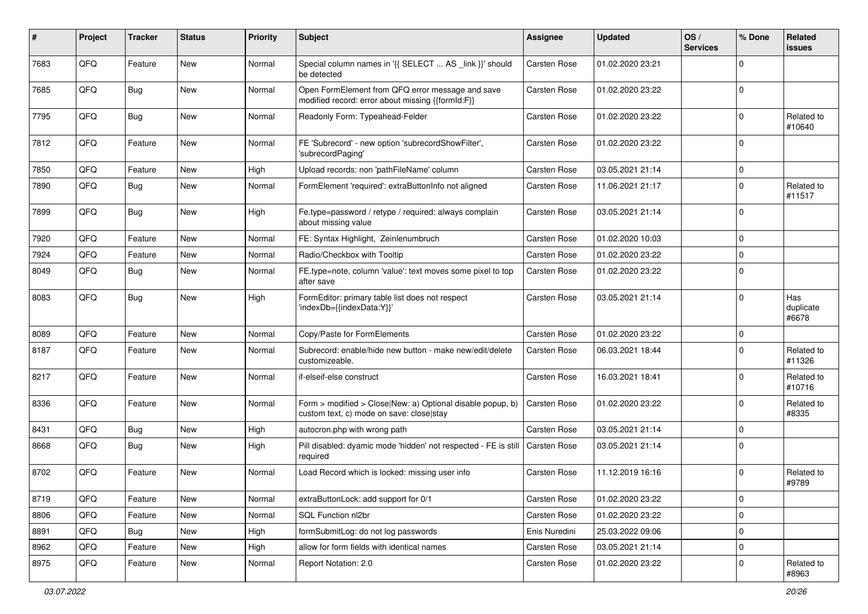| ∦    | Project | <b>Tracker</b> | <b>Status</b> | <b>Priority</b> | <b>Subject</b>                                                                                         | <b>Assignee</b>     | <b>Updated</b>   | OS/<br><b>Services</b> | % Done         | Related<br>issues         |
|------|---------|----------------|---------------|-----------------|--------------------------------------------------------------------------------------------------------|---------------------|------------------|------------------------|----------------|---------------------------|
| 7683 | QFQ     | Feature        | New           | Normal          | Special column names in '{{ SELECT  AS _link }}' should<br>be detected                                 | Carsten Rose        | 01.02.2020 23:21 |                        | $\Omega$       |                           |
| 7685 | QFQ     | Bug            | New           | Normal          | Open FormElement from QFQ error message and save<br>modified record: error about missing {{formId:F}}  | <b>Carsten Rose</b> | 01.02.2020 23:22 |                        | $\Omega$       |                           |
| 7795 | QFQ     | Bug            | <b>New</b>    | Normal          | Readonly Form: Typeahead-Felder                                                                        | <b>Carsten Rose</b> | 01.02.2020 23:22 |                        | $\Omega$       | Related to<br>#10640      |
| 7812 | QFQ     | Feature        | <b>New</b>    | Normal          | FE 'Subrecord' - new option 'subrecordShowFilter',<br>'subrecordPaging'                                | <b>Carsten Rose</b> | 01.02.2020 23:22 |                        | $\Omega$       |                           |
| 7850 | QFQ     | Feature        | <b>New</b>    | High            | Upload records: non 'pathFileName' column                                                              | <b>Carsten Rose</b> | 03.05.2021 21:14 |                        | $\Omega$       |                           |
| 7890 | QFQ     | Bug            | <b>New</b>    | Normal          | FormElement 'required': extraButtonInfo not aligned                                                    | <b>Carsten Rose</b> | 11.06.2021 21:17 |                        | $\Omega$       | Related to<br>#11517      |
| 7899 | QFQ     | Bug            | <b>New</b>    | High            | Fe.type=password / retype / required: always complain<br>about missing value                           | <b>Carsten Rose</b> | 03.05.2021 21:14 |                        | $\mathbf 0$    |                           |
| 7920 | QFQ     | Feature        | New           | Normal          | FE: Syntax Highlight, Zeinlenumbruch                                                                   | Carsten Rose        | 01.02.2020 10:03 |                        | $\Omega$       |                           |
| 7924 | QFQ     | Feature        | <b>New</b>    | Normal          | Radio/Checkbox with Tooltip                                                                            | <b>Carsten Rose</b> | 01.02.2020 23:22 |                        | $\Omega$       |                           |
| 8049 | QFQ     | <b>Bug</b>     | New           | Normal          | FE.type=note, column 'value': text moves some pixel to top<br>after save                               | <b>Carsten Rose</b> | 01.02.2020 23:22 |                        | $\Omega$       |                           |
| 8083 | QFQ     | <b>Bug</b>     | <b>New</b>    | High            | FormEditor: primary table list does not respect<br>'indexDb={{indexData:Y}}'                           | <b>Carsten Rose</b> | 03.05.2021 21:14 |                        | $\Omega$       | Has<br>duplicate<br>#6678 |
| 8089 | QFQ     | Feature        | <b>New</b>    | Normal          | Copy/Paste for FormElements                                                                            | <b>Carsten Rose</b> | 01.02.2020 23:22 |                        | $\mathbf 0$    |                           |
| 8187 | QFQ     | Feature        | New           | Normal          | Subrecord: enable/hide new button - make new/edit/delete<br>customizeable.                             | <b>Carsten Rose</b> | 06.03.2021 18:44 |                        | $\Omega$       | Related to<br>#11326      |
| 8217 | QFQ     | Feature        | <b>New</b>    | Normal          | if-elseif-else construct                                                                               | Carsten Rose        | 16.03.2021 18:41 |                        | $\Omega$       | Related to<br>#10716      |
| 8336 | QFQ     | Feature        | <b>New</b>    | Normal          | Form > modified > Close New: a) Optional disable popup, b)<br>custom text, c) mode on save: close stay | <b>Carsten Rose</b> | 01.02.2020 23:22 |                        | $\Omega$       | Related to<br>#8335       |
| 8431 | QFQ     | Bug            | <b>New</b>    | High            | autocron.php with wrong path                                                                           | <b>Carsten Rose</b> | 03.05.2021 21:14 |                        | $\mathbf 0$    |                           |
| 8668 | QFQ     | <b>Bug</b>     | New           | High            | Pill disabled: dyamic mode 'hidden' not respected - FE is still<br>required                            | <b>Carsten Rose</b> | 03.05.2021 21:14 |                        | $\Omega$       |                           |
| 8702 | QFQ     | Feature        | New           | Normal          | Load Record which is locked: missing user info                                                         | Carsten Rose        | 11.12.2019 16:16 |                        | $\Omega$       | Related to<br>#9789       |
| 8719 | QFQ     | Feature        | New           | Normal          | extraButtonLock: add support for 0/1                                                                   | Carsten Rose        | 01.02.2020 23:22 |                        | $\overline{0}$ |                           |
| 8806 | QFQ     | Feature        | New           | Normal          | SQL Function nl2br                                                                                     | Carsten Rose        | 01.02.2020 23:22 |                        | $\overline{0}$ |                           |
| 8891 | QFQ     | Bug            | New           | High            | formSubmitLog: do not log passwords                                                                    | Enis Nuredini       | 25.03.2022 09:06 |                        | 0              |                           |
| 8962 | QFQ     | Feature        | New           | High            | allow for form fields with identical names                                                             | Carsten Rose        | 03.05.2021 21:14 |                        | $\mathbf 0$    |                           |
| 8975 | QFQ     | Feature        | New           | Normal          | Report Notation: 2.0                                                                                   | Carsten Rose        | 01.02.2020 23:22 |                        | 0              | Related to<br>#8963       |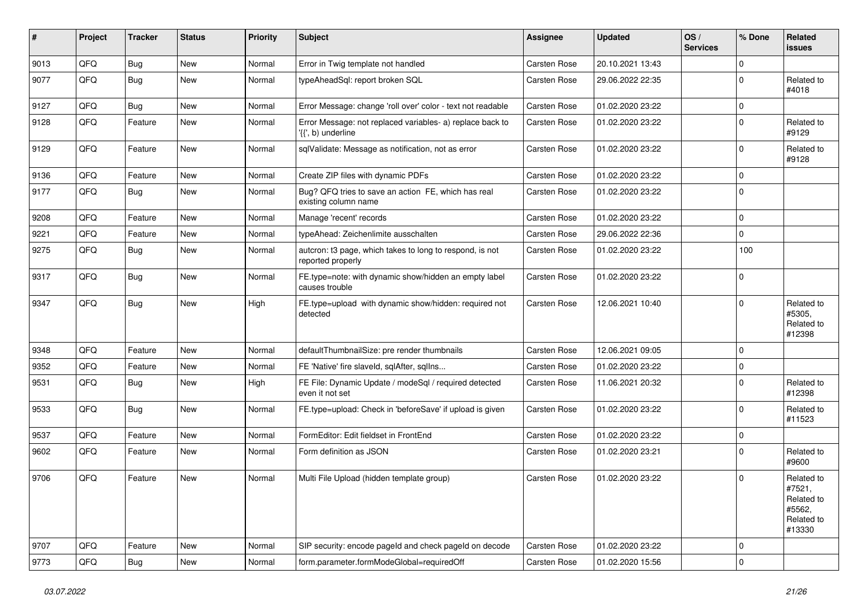| #    | Project | <b>Tracker</b> | <b>Status</b> | <b>Priority</b> | Subject                                                                         | <b>Assignee</b>     | <b>Updated</b>   | OS/<br><b>Services</b> | % Done      | Related<br><b>issues</b>                                             |
|------|---------|----------------|---------------|-----------------|---------------------------------------------------------------------------------|---------------------|------------------|------------------------|-------------|----------------------------------------------------------------------|
| 9013 | QFQ     | Bug            | New           | Normal          | Error in Twig template not handled                                              | Carsten Rose        | 20.10.2021 13:43 |                        | $\mathbf 0$ |                                                                      |
| 9077 | QFQ     | Bug            | <b>New</b>    | Normal          | typeAheadSql: report broken SQL                                                 | <b>Carsten Rose</b> | 29.06.2022 22:35 |                        | $\pmb{0}$   | Related to<br>#4018                                                  |
| 9127 | QFQ     | Bug            | <b>New</b>    | Normal          | Error Message: change 'roll over' color - text not readable                     | Carsten Rose        | 01.02.2020 23:22 |                        | $\pmb{0}$   |                                                                      |
| 9128 | QFQ     | Feature        | New           | Normal          | Error Message: not replaced variables- a) replace back to<br>'{{', b) underline | <b>Carsten Rose</b> | 01.02.2020 23:22 |                        | 0           | Related to<br>#9129                                                  |
| 9129 | QFQ     | Feature        | <b>New</b>    | Normal          | sqlValidate: Message as notification, not as error                              | Carsten Rose        | 01.02.2020 23:22 |                        | $\pmb{0}$   | Related to<br>#9128                                                  |
| 9136 | QFQ     | Feature        | New           | Normal          | Create ZIP files with dynamic PDFs                                              | Carsten Rose        | 01.02.2020 23:22 |                        | $\mathbf 0$ |                                                                      |
| 9177 | QFQ     | Bug            | <b>New</b>    | Normal          | Bug? QFQ tries to save an action FE, which has real<br>existing column name     | <b>Carsten Rose</b> | 01.02.2020 23:22 |                        | $\mathbf 0$ |                                                                      |
| 9208 | QFQ     | Feature        | <b>New</b>    | Normal          | Manage 'recent' records                                                         | Carsten Rose        | 01.02.2020 23:22 |                        | $\mathbf 0$ |                                                                      |
| 9221 | QFQ     | Feature        | New           | Normal          | typeAhead: Zeichenlimite ausschalten                                            | Carsten Rose        | 29.06.2022 22:36 |                        | $\mathbf 0$ |                                                                      |
| 9275 | QFQ     | Bug            | New           | Normal          | autcron: t3 page, which takes to long to respond, is not<br>reported properly   | <b>Carsten Rose</b> | 01.02.2020 23:22 |                        | 100         |                                                                      |
| 9317 | QFQ     | Bug            | <b>New</b>    | Normal          | FE.type=note: with dynamic show/hidden an empty label<br>causes trouble         | Carsten Rose        | 01.02.2020 23:22 |                        | $\mathbf 0$ |                                                                      |
| 9347 | QFQ     | Bug            | New           | High            | FE.type=upload with dynamic show/hidden: required not<br>detected               | <b>Carsten Rose</b> | 12.06.2021 10:40 |                        | $\mathbf 0$ | Related to<br>#5305,<br>Related to<br>#12398                         |
| 9348 | QFQ     | Feature        | New           | Normal          | defaultThumbnailSize: pre render thumbnails                                     | Carsten Rose        | 12.06.2021 09:05 |                        | $\mathbf 0$ |                                                                      |
| 9352 | QFQ     | Feature        | <b>New</b>    | Normal          | FE 'Native' fire slaveld, sqlAfter, sqlIns                                      | Carsten Rose        | 01.02.2020 23:22 |                        | 0           |                                                                      |
| 9531 | QFQ     | Bug            | <b>New</b>    | High            | FE File: Dynamic Update / modeSql / required detected<br>even it not set        | <b>Carsten Rose</b> | 11.06.2021 20:32 |                        | $\mathbf 0$ | Related to<br>#12398                                                 |
| 9533 | QFQ     | Bug            | <b>New</b>    | Normal          | FE.type=upload: Check in 'beforeSave' if upload is given                        | Carsten Rose        | 01.02.2020 23:22 |                        | $\mathbf 0$ | Related to<br>#11523                                                 |
| 9537 | QFQ     | Feature        | <b>New</b>    | Normal          | FormEditor: Edit fieldset in FrontEnd                                           | Carsten Rose        | 01.02.2020 23:22 |                        | $\pmb{0}$   |                                                                      |
| 9602 | QFQ     | Feature        | New           | Normal          | Form definition as JSON                                                         | <b>Carsten Rose</b> | 01.02.2020 23:21 |                        | 0           | Related to<br>#9600                                                  |
| 9706 | QFQ     | Feature        | <b>New</b>    | Normal          | Multi File Upload (hidden template group)                                       | Carsten Rose        | 01.02.2020 23:22 |                        | $\mathbf 0$ | Related to<br>#7521.<br>Related to<br>#5562,<br>Related to<br>#13330 |
| 9707 | QFQ     | Feature        | <b>New</b>    | Normal          | SIP security: encode pageld and check pageld on decode                          | Carsten Rose        | 01.02.2020 23:22 |                        | 0           |                                                                      |
| 9773 | QFQ     | <b>Bug</b>     | New           | Normal          | form.parameter.formModeGlobal=requiredOff                                       | Carsten Rose        | 01.02.2020 15:56 |                        | $\pmb{0}$   |                                                                      |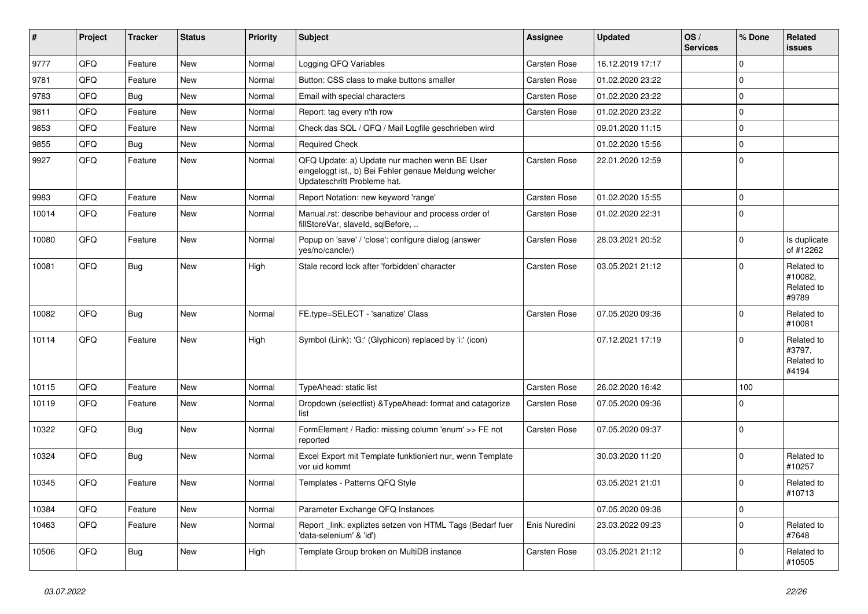| ∦     | Project | <b>Tracker</b> | <b>Status</b> | <b>Priority</b> | Subject                                                                                                                               | Assignee      | <b>Updated</b>   | OS/<br><b>Services</b> | % Done      | Related<br><b>issues</b>                     |
|-------|---------|----------------|---------------|-----------------|---------------------------------------------------------------------------------------------------------------------------------------|---------------|------------------|------------------------|-------------|----------------------------------------------|
| 9777  | QFQ     | Feature        | New           | Normal          | Logging QFQ Variables                                                                                                                 | Carsten Rose  | 16.12.2019 17:17 |                        | $\mathbf 0$ |                                              |
| 9781  | QFQ     | Feature        | <b>New</b>    | Normal          | Button: CSS class to make buttons smaller                                                                                             | Carsten Rose  | 01.02.2020 23:22 |                        | $\mathbf 0$ |                                              |
| 9783  | QFQ     | Bug            | New           | Normal          | Email with special characters                                                                                                         | Carsten Rose  | 01.02.2020 23:22 |                        | $\Omega$    |                                              |
| 9811  | QFQ     | Feature        | <b>New</b>    | Normal          | Report: tag every n'th row                                                                                                            | Carsten Rose  | 01.02.2020 23:22 |                        | $\mathbf 0$ |                                              |
| 9853  | QFQ     | Feature        | New           | Normal          | Check das SQL / QFQ / Mail Logfile geschrieben wird                                                                                   |               | 09.01.2020 11:15 |                        | $\mathbf 0$ |                                              |
| 9855  | QFQ     | Bug            | <b>New</b>    | Normal          | <b>Required Check</b>                                                                                                                 |               | 01.02.2020 15:56 |                        | $\mathbf 0$ |                                              |
| 9927  | QFQ     | Feature        | New           | Normal          | QFQ Update: a) Update nur machen wenn BE User<br>eingeloggt ist., b) Bei Fehler genaue Meldung welcher<br>Updateschritt Probleme hat. | Carsten Rose  | 22.01.2020 12:59 |                        | $\pmb{0}$   |                                              |
| 9983  | QFQ     | Feature        | <b>New</b>    | Normal          | Report Notation: new keyword 'range'                                                                                                  | Carsten Rose  | 01.02.2020 15:55 |                        | $\mathbf 0$ |                                              |
| 10014 | QFQ     | Feature        | New           | Normal          | Manual.rst: describe behaviour and process order of<br>fillStoreVar, slaveId, sqlBefore,                                              | Carsten Rose  | 01.02.2020 22:31 |                        | $\Omega$    |                                              |
| 10080 | QFQ     | Feature        | <b>New</b>    | Normal          | Popup on 'save' / 'close': configure dialog (answer<br>yes/no/cancle/)                                                                | Carsten Rose  | 28.03.2021 20:52 |                        | $\mathbf 0$ | Is duplicate<br>of #12262                    |
| 10081 | QFQ     | <b>Bug</b>     | New           | High            | Stale record lock after 'forbidden' character                                                                                         | Carsten Rose  | 03.05.2021 21:12 |                        | $\mathbf 0$ | Related to<br>#10082.<br>Related to<br>#9789 |
| 10082 | QFQ     | Bug            | New           | Normal          | FE.type=SELECT - 'sanatize' Class                                                                                                     | Carsten Rose  | 07.05.2020 09:36 |                        | $\Omega$    | Related to<br>#10081                         |
| 10114 | QFQ     | Feature        | New           | High            | Symbol (Link): 'G:' (Glyphicon) replaced by 'i:' (icon)                                                                               |               | 07.12.2021 17:19 |                        | $\mathbf 0$ | Related to<br>#3797,<br>Related to<br>#4194  |
| 10115 | QFQ     | Feature        | <b>New</b>    | Normal          | TypeAhead: static list                                                                                                                | Carsten Rose  | 26.02.2020 16:42 |                        | 100         |                                              |
| 10119 | QFQ     | Feature        | New           | Normal          | Dropdown (selectlist) & TypeAhead: format and catagorize<br>list                                                                      | Carsten Rose  | 07.05.2020 09:36 |                        | $\Omega$    |                                              |
| 10322 | QFQ     | Bug            | New           | Normal          | FormElement / Radio: missing column 'enum' >> FE not<br>reported                                                                      | Carsten Rose  | 07.05.2020 09:37 |                        | $\mathbf 0$ |                                              |
| 10324 | QFQ     | <b>Bug</b>     | New           | Normal          | Excel Export mit Template funktioniert nur, wenn Template<br>vor uid kommt                                                            |               | 30.03.2020 11:20 |                        | $\mathbf 0$ | Related to<br>#10257                         |
| 10345 | QFQ     | Feature        | New           | Normal          | Templates - Patterns QFQ Style                                                                                                        |               | 03.05.2021 21:01 |                        | $\mathbf 0$ | Related to<br> #10713                        |
| 10384 | QFG     | Feature        | New           | Normal          | Parameter Exchange QFQ Instances                                                                                                      |               | 07.05.2020 09:38 |                        | $\pmb{0}$   |                                              |
| 10463 | QFQ     | Feature        | New           | Normal          | Report _link: expliztes setzen von HTML Tags (Bedarf fuer<br>'data-selenium' & 'id')                                                  | Enis Nuredini | 23.03.2022 09:23 |                        | $\pmb{0}$   | Related to<br>#7648                          |
| 10506 | QFO     | Bug            | New           | High            | Template Group broken on MultiDB instance                                                                                             | Carsten Rose  | 03.05.2021 21:12 |                        | 0           | Related to<br>#10505                         |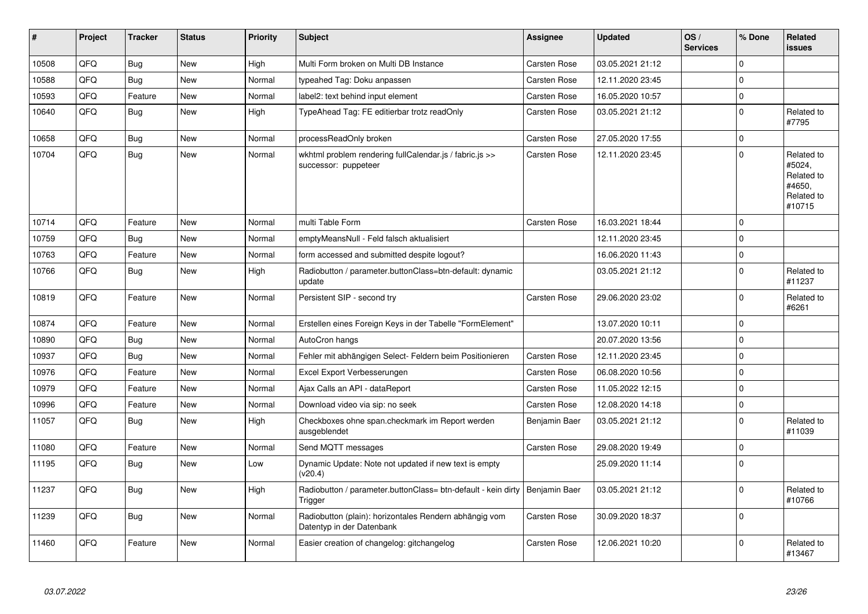| #     | <b>Project</b> | <b>Tracker</b> | <b>Status</b> | <b>Priority</b> | <b>Subject</b>                                                                           | Assignee            | <b>Updated</b>   | OS/<br><b>Services</b> | % Done      | Related<br><b>issues</b>                                             |
|-------|----------------|----------------|---------------|-----------------|------------------------------------------------------------------------------------------|---------------------|------------------|------------------------|-------------|----------------------------------------------------------------------|
| 10508 | QFQ            | Bug            | <b>New</b>    | High            | Multi Form broken on Multi DB Instance                                                   | <b>Carsten Rose</b> | 03.05.2021 21:12 |                        | $\mathbf 0$ |                                                                      |
| 10588 | QFQ            | Bug            | <b>New</b>    | Normal          | typeahed Tag: Doku anpassen                                                              | Carsten Rose        | 12.11.2020 23:45 |                        | $\mathbf 0$ |                                                                      |
| 10593 | QFQ            | Feature        | <b>New</b>    | Normal          | label2: text behind input element                                                        | <b>Carsten Rose</b> | 16.05.2020 10:57 |                        | $\pmb{0}$   |                                                                      |
| 10640 | QFQ            | <b>Bug</b>     | <b>New</b>    | High            | TypeAhead Tag: FE editierbar trotz readOnly                                              | Carsten Rose        | 03.05.2021 21:12 |                        | $\pmb{0}$   | Related to<br>#7795                                                  |
| 10658 | QFQ            | Bug            | New           | Normal          | processReadOnly broken                                                                   | Carsten Rose        | 27.05.2020 17:55 |                        | $\pmb{0}$   |                                                                      |
| 10704 | QFQ            | <b>Bug</b>     | <b>New</b>    | Normal          | wkhtml problem rendering fullCalendar.js / fabric.js >><br>successor: puppeteer          | <b>Carsten Rose</b> | 12.11.2020 23:45 |                        | $\Omega$    | Related to<br>#5024,<br>Related to<br>#4650,<br>Related to<br>#10715 |
| 10714 | QFQ            | Feature        | <b>New</b>    | Normal          | multi Table Form                                                                         | <b>Carsten Rose</b> | 16.03.2021 18:44 |                        | $\Omega$    |                                                                      |
| 10759 | QFQ            | Bug            | New           | Normal          | emptyMeansNull - Feld falsch aktualisiert                                                |                     | 12.11.2020 23:45 |                        | $\mathbf 0$ |                                                                      |
| 10763 | QFQ            | Feature        | <b>New</b>    | Normal          | form accessed and submitted despite logout?                                              |                     | 16.06.2020 11:43 |                        | $\mathbf 0$ |                                                                      |
| 10766 | QFQ            | Bug            | New           | High            | Radiobutton / parameter.buttonClass=btn-default: dynamic<br>update                       |                     | 03.05.2021 21:12 |                        | $\mathbf 0$ | Related to<br>#11237                                                 |
| 10819 | QFQ            | Feature        | New           | Normal          | Persistent SIP - second try                                                              | <b>Carsten Rose</b> | 29.06.2020 23:02 |                        | $\mathbf 0$ | Related to<br>#6261                                                  |
| 10874 | QFQ            | Feature        | <b>New</b>    | Normal          | Erstellen eines Foreign Keys in der Tabelle "FormElement"                                |                     | 13.07.2020 10:11 |                        | $\mathbf 0$ |                                                                      |
| 10890 | QFQ            | <b>Bug</b>     | <b>New</b>    | Normal          | AutoCron hangs                                                                           |                     | 20.07.2020 13:56 |                        | $\Omega$    |                                                                      |
| 10937 | QFQ            | Bug            | <b>New</b>    | Normal          | Fehler mit abhängigen Select- Feldern beim Positionieren                                 | <b>Carsten Rose</b> | 12.11.2020 23:45 |                        | $\mathbf 0$ |                                                                      |
| 10976 | QFQ            | Feature        | <b>New</b>    | Normal          | Excel Export Verbesserungen                                                              | Carsten Rose        | 06.08.2020 10:56 |                        | $\mathbf 0$ |                                                                      |
| 10979 | QFQ            | Feature        | <b>New</b>    | Normal          | Ajax Calls an API - dataReport                                                           | <b>Carsten Rose</b> | 11.05.2022 12:15 |                        | $\mathbf 0$ |                                                                      |
| 10996 | QFQ            | Feature        | <b>New</b>    | Normal          | Download video via sip: no seek                                                          | Carsten Rose        | 12.08.2020 14:18 |                        | $\pmb{0}$   |                                                                      |
| 11057 | QFQ            | <b>Bug</b>     | <b>New</b>    | High            | Checkboxes ohne span.checkmark im Report werden<br>ausgeblendet                          | Benjamin Baer       | 03.05.2021 21:12 |                        | $\mathbf 0$ | Related to<br>#11039                                                 |
| 11080 | QFQ            | Feature        | <b>New</b>    | Normal          | Send MQTT messages                                                                       | <b>Carsten Rose</b> | 29.08.2020 19:49 |                        | $\mathbf 0$ |                                                                      |
| 11195 | QFQ            | <b>Bug</b>     | New           | Low             | Dynamic Update: Note not updated if new text is empty<br>(v20.4)                         |                     | 25.09.2020 11:14 |                        | $\mathbf 0$ |                                                                      |
| 11237 | QFQ            | Bug            | New           | High            | Radiobutton / parameter.buttonClass= btn-default - kein dirty   Benjamin Baer<br>Trigger |                     | 03.05.2021 21:12 |                        | $\mathbf 0$ | Related to<br>#10766                                                 |
| 11239 | QFQ            | Bug            | <b>New</b>    | Normal          | Radiobutton (plain): horizontales Rendern abhängig vom<br>Datentyp in der Datenbank      | <b>Carsten Rose</b> | 30.09.2020 18:37 |                        | $\pmb{0}$   |                                                                      |
| 11460 | QFQ            | Feature        | New           | Normal          | Easier creation of changelog: gitchangelog                                               | <b>Carsten Rose</b> | 12.06.2021 10:20 |                        | $\Omega$    | Related to<br>#13467                                                 |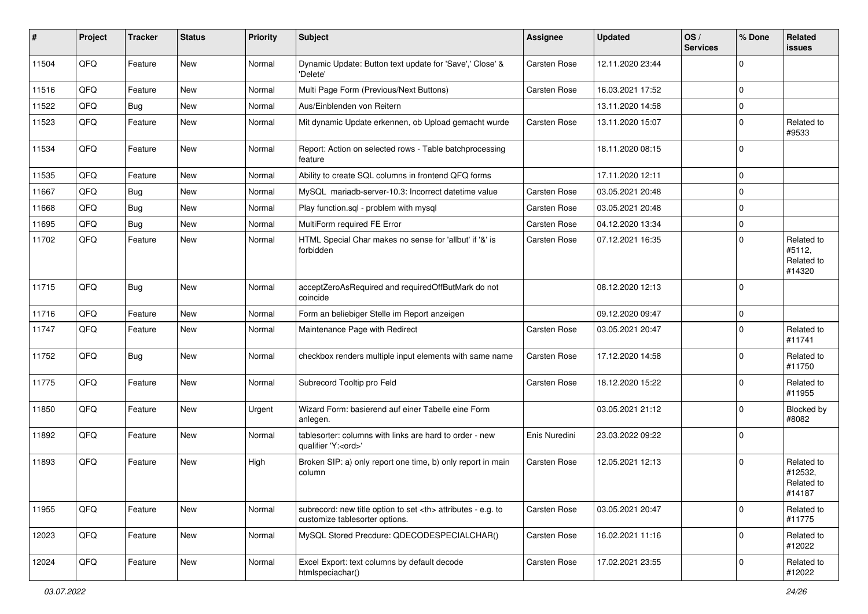| ∦     | Project | <b>Tracker</b> | <b>Status</b> | <b>Priority</b> | Subject                                                                                              | <b>Assignee</b>                                        | <b>Updated</b>   | OS/<br><b>Services</b> | % Done      | Related<br>issues                             |                      |
|-------|---------|----------------|---------------|-----------------|------------------------------------------------------------------------------------------------------|--------------------------------------------------------|------------------|------------------------|-------------|-----------------------------------------------|----------------------|
| 11504 | QFQ     | Feature        | New           | Normal          | Dynamic Update: Button text update for 'Save',' Close' &<br>'Delete'                                 | Carsten Rose                                           | 12.11.2020 23:44 |                        | $\Omega$    |                                               |                      |
| 11516 | QFQ     | Feature        | New           | Normal          | Multi Page Form (Previous/Next Buttons)                                                              | Carsten Rose                                           | 16.03.2021 17:52 |                        | 0           |                                               |                      |
| 11522 | QFQ     | <b>Bug</b>     | <b>New</b>    | Normal          | Aus/Einblenden von Reitern                                                                           |                                                        | 13.11.2020 14:58 |                        | $\mathbf 0$ |                                               |                      |
| 11523 | QFQ     | Feature        | New           | Normal          | Mit dynamic Update erkennen, ob Upload gemacht wurde                                                 | Carsten Rose                                           | 13.11.2020 15:07 |                        | 0           | Related to<br>#9533                           |                      |
| 11534 | QFQ     | Feature        | New           | Normal          | Report: Action on selected rows - Table batchprocessing<br>feature                                   |                                                        | 18.11.2020 08:15 |                        | $\mathbf 0$ |                                               |                      |
| 11535 | QFQ     | Feature        | <b>New</b>    | Normal          | Ability to create SQL columns in frontend QFQ forms                                                  |                                                        | 17.11.2020 12:11 |                        | $\mathbf 0$ |                                               |                      |
| 11667 | QFQ     | Bug            | New           | Normal          | MySQL mariadb-server-10.3: Incorrect datetime value                                                  | Carsten Rose                                           | 03.05.2021 20:48 |                        | $\Omega$    |                                               |                      |
| 11668 | QFQ     | Bug            | New           | Normal          | Play function.sql - problem with mysql                                                               | Carsten Rose                                           | 03.05.2021 20:48 |                        | $\Omega$    |                                               |                      |
| 11695 | QFQ     | <b>Bug</b>     | New           | Normal          | MultiForm required FE Error                                                                          | Carsten Rose                                           | 04.12.2020 13:34 |                        | $\Omega$    |                                               |                      |
| 11702 | QFQ     | Feature        | New           | Normal          | HTML Special Char makes no sense for 'allbut' if '&' is<br>forbidden                                 | <b>Carsten Rose</b>                                    | 07.12.2021 16:35 |                        | $\Omega$    | Related to<br>#5112,<br>Related to<br>#14320  |                      |
| 11715 | QFQ     | Bug            | New           | Normal          | acceptZeroAsRequired and requiredOffButMark do not<br>coincide                                       |                                                        | 08.12.2020 12:13 |                        | $\mathbf 0$ |                                               |                      |
| 11716 | QFQ     | Feature        | <b>New</b>    | Normal          | Form an beliebiger Stelle im Report anzeigen                                                         |                                                        | 09.12.2020 09:47 |                        | $\Omega$    |                                               |                      |
| 11747 | QFQ     | Feature        | New           | Normal          | Maintenance Page with Redirect                                                                       | <b>Carsten Rose</b>                                    | 03.05.2021 20:47 |                        | $\Omega$    | Related to<br>#11741                          |                      |
| 11752 | QFQ     | Bug            | New           | Normal          | checkbox renders multiple input elements with same name                                              | Carsten Rose                                           | 17.12.2020 14:58 |                        | $\Omega$    | Related to<br>#11750                          |                      |
| 11775 | QFQ     | Feature        | <b>New</b>    | Normal          | Subrecord Tooltip pro Feld                                                                           | <b>Carsten Rose</b>                                    | 18.12.2020 15:22 |                        | $\Omega$    | Related to<br>#11955                          |                      |
| 11850 | QFQ     | Feature        | New           | Urgent          | Wizard Form: basierend auf einer Tabelle eine Form<br>anlegen.                                       |                                                        | 03.05.2021 21:12 |                        | $\Omega$    | Blocked by<br>#8082                           |                      |
| 11892 | QFQ     | Feature        | New           | Normal          | tablesorter: columns with links are hard to order - new<br>qualifier 'Y: <ord>'</ord>                | Enis Nuredini                                          | 23.03.2022 09:22 |                        | $\mathbf 0$ |                                               |                      |
| 11893 | QFQ     | Feature        | <b>New</b>    | High            | Broken SIP: a) only report one time, b) only report in main<br>column                                | Carsten Rose                                           | 12.05.2021 12:13 |                        | $\Omega$    | Related to<br>#12532,<br>Related to<br>#14187 |                      |
| 11955 | QFQ     | Feature        | New           | Normal          | subrecord: new title option to set <th> attributes - e.g. to<br/>customize tablesorter options.</th> | attributes - e.g. to<br>customize tablesorter options. | Carsten Rose     | 03.05.2021 20:47       |             | $\mathbf 0$                                   | Related to<br>#11775 |
| 12023 | QFO     | Feature        | New           | Normal          | MySQL Stored Precdure: QDECODESPECIALCHAR()                                                          | Carsten Rose                                           | 16.02.2021 11:16 |                        | $\Omega$    | Related to<br>#12022                          |                      |
| 12024 | QFQ     | Feature        | New           | Normal          | Excel Export: text columns by default decode<br>htmlspeciachar()                                     | Carsten Rose                                           | 17.02.2021 23:55 |                        | $\mathbf 0$ | Related to<br>#12022                          |                      |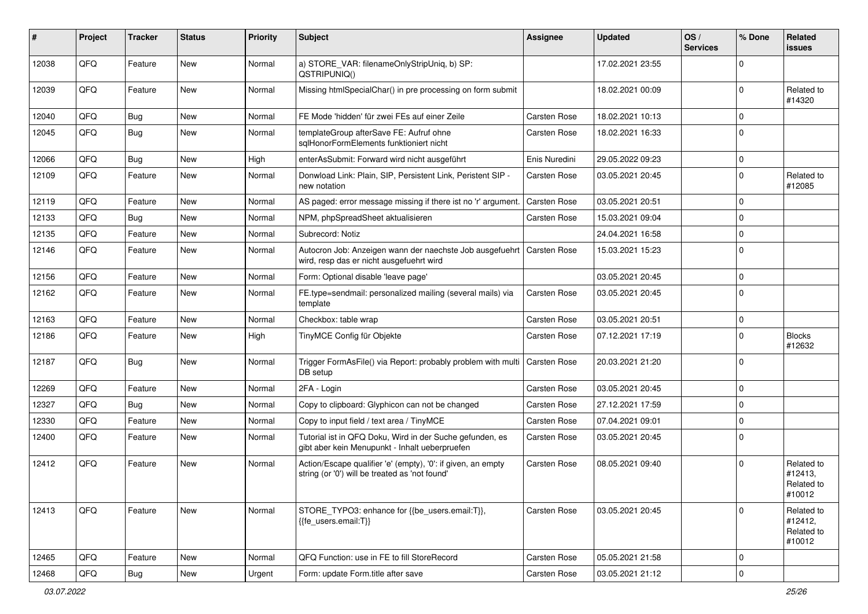| #     | Project        | <b>Tracker</b> | <b>Status</b> | <b>Priority</b> | Subject                                                                                                        | <b>Assignee</b>     | <b>Updated</b>   | OS/<br><b>Services</b> | % Done      | Related<br>issues                             |
|-------|----------------|----------------|---------------|-----------------|----------------------------------------------------------------------------------------------------------------|---------------------|------------------|------------------------|-------------|-----------------------------------------------|
| 12038 | QFQ            | Feature        | New           | Normal          | a) STORE_VAR: filenameOnlyStripUniq, b) SP:<br>QSTRIPUNIQ()                                                    |                     | 17.02.2021 23:55 |                        | $\Omega$    |                                               |
| 12039 | QFQ            | Feature        | New           | Normal          | Missing htmlSpecialChar() in pre processing on form submit                                                     |                     | 18.02.2021 00:09 |                        | 0           | Related to<br>#14320                          |
| 12040 | QFQ            | Bug            | New           | Normal          | FE Mode 'hidden' für zwei FEs auf einer Zeile                                                                  | <b>Carsten Rose</b> | 18.02.2021 10:13 |                        | $\Omega$    |                                               |
| 12045 | QFQ            | Bug            | New           | Normal          | templateGroup afterSave FE: Aufruf ohne<br>sglHonorFormElements funktioniert nicht                             | <b>Carsten Rose</b> | 18.02.2021 16:33 |                        | $\Omega$    |                                               |
| 12066 | QFQ            | Bug            | New           | High            | enterAsSubmit: Forward wird nicht ausgeführt                                                                   | Enis Nuredini       | 29.05.2022 09:23 |                        | $\Omega$    |                                               |
| 12109 | QFQ            | Feature        | New           | Normal          | Donwload Link: Plain, SIP, Persistent Link, Peristent SIP -<br>new notation                                    | <b>Carsten Rose</b> | 03.05.2021 20:45 |                        | 0           | Related to<br>#12085                          |
| 12119 | QFQ            | Feature        | New           | Normal          | AS paged: error message missing if there ist no 'r' argument.                                                  | <b>Carsten Rose</b> | 03.05.2021 20:51 |                        | 0           |                                               |
| 12133 | QFQ            | Bug            | <b>New</b>    | Normal          | NPM, phpSpreadSheet aktualisieren                                                                              | <b>Carsten Rose</b> | 15.03.2021 09:04 |                        | $\Omega$    |                                               |
| 12135 | QFQ            | Feature        | New           | Normal          | Subrecord: Notiz                                                                                               |                     | 24.04.2021 16:58 |                        | $\mathbf 0$ |                                               |
| 12146 | QFQ            | Feature        | New           | Normal          | Autocron Job: Anzeigen wann der naechste Job ausgefuehrt<br>wird, resp das er nicht ausgefuehrt wird           | Carsten Rose        | 15.03.2021 15:23 |                        | $\mathbf 0$ |                                               |
| 12156 | QFQ            | Feature        | <b>New</b>    | Normal          | Form: Optional disable 'leave page'                                                                            |                     | 03.05.2021 20:45 |                        | 0           |                                               |
| 12162 | QFQ            | Feature        | New           | Normal          | FE.type=sendmail: personalized mailing (several mails) via<br>template                                         | <b>Carsten Rose</b> | 03.05.2021 20:45 |                        | 0           |                                               |
| 12163 | QFQ            | Feature        | New           | Normal          | Checkbox: table wrap                                                                                           | Carsten Rose        | 03.05.2021 20:51 |                        | $\mathbf 0$ |                                               |
| 12186 | QFQ            | Feature        | <b>New</b>    | High            | TinyMCE Config für Objekte                                                                                     | <b>Carsten Rose</b> | 07.12.2021 17:19 |                        | $\Omega$    | <b>Blocks</b><br>#12632                       |
| 12187 | QFQ            | Bug            | New           | Normal          | Trigger FormAsFile() via Report: probably problem with multi<br>DB setup                                       | Carsten Rose        | 20.03.2021 21:20 |                        | $\mathbf 0$ |                                               |
| 12269 | QFQ            | Feature        | New           | Normal          | 2FA - Login                                                                                                    | <b>Carsten Rose</b> | 03.05.2021 20:45 |                        | $\mathbf 0$ |                                               |
| 12327 | QFQ            | <b>Bug</b>     | <b>New</b>    | Normal          | Copy to clipboard: Glyphicon can not be changed                                                                | <b>Carsten Rose</b> | 27.12.2021 17:59 |                        | $\mathbf 0$ |                                               |
| 12330 | QFQ            | Feature        | New           | Normal          | Copy to input field / text area / TinyMCE                                                                      | <b>Carsten Rose</b> | 07.04.2021 09:01 |                        | $\mathbf 0$ |                                               |
| 12400 | QFQ            | Feature        | New           | Normal          | Tutorial ist in QFQ Doku, Wird in der Suche gefunden, es<br>gibt aber kein Menupunkt - Inhalt ueberpruefen     | <b>Carsten Rose</b> | 03.05.2021 20:45 |                        | $\mathbf 0$ |                                               |
| 12412 | QFQ            | Feature        | New           | Normal          | Action/Escape qualifier 'e' (empty), '0': if given, an empty<br>string (or '0') will be treated as 'not found' | <b>Carsten Rose</b> | 08.05.2021 09:40 |                        | $\Omega$    | Related to<br>#12413,<br>Related to<br>#10012 |
| 12413 | QFQ            | Feature        | New           | Normal          | STORE_TYPO3: enhance for {{be_users.email:T}},<br>{{fe_users.email:T}}                                         | Carsten Rose        | 03.05.2021 20:45 |                        | $\mathbf 0$ | Related to<br>#12412,<br>Related to<br>#10012 |
| 12465 | QFQ            | Feature        | New           | Normal          | QFQ Function: use in FE to fill StoreRecord                                                                    | <b>Carsten Rose</b> | 05.05.2021 21:58 |                        | 0           |                                               |
| 12468 | $\mathsf{QFQ}$ | Bug            | New           | Urgent          | Form: update Form.title after save                                                                             | Carsten Rose        | 03.05.2021 21:12 |                        | $\mathbf 0$ |                                               |